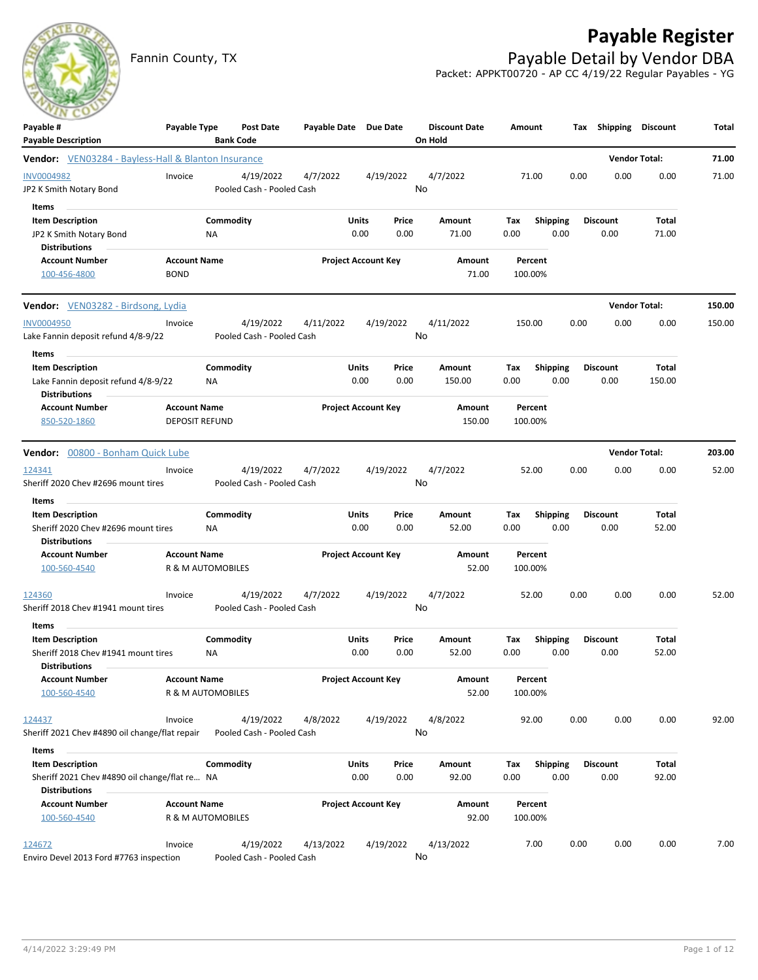Fannin County, TX **Payable Detail by Vendor DBA** 

## **Payable Register**



Packet: APPKT00720 - AP CC 4/19/22 Regular Payables - YG

| Payable #<br><b>Payable Description</b>                                                          | Payable Type                                 |                 | <b>Post Date</b><br><b>Bank Code</b>   | Payable Date Due Date |                            |               | <b>Discount Date</b><br>On Hold | Amount             |                         |      | Tax Shipping Discount   |                      | Total  |
|--------------------------------------------------------------------------------------------------|----------------------------------------------|-----------------|----------------------------------------|-----------------------|----------------------------|---------------|---------------------------------|--------------------|-------------------------|------|-------------------------|----------------------|--------|
| <b>Vendor:</b> VEN03284 - Bayless-Hall & Blanton Insurance                                       |                                              |                 |                                        |                       |                            |               |                                 |                    |                         |      |                         | <b>Vendor Total:</b> | 71.00  |
| <b>INV0004982</b><br>JP2 K Smith Notary Bond                                                     | Invoice                                      |                 | 4/19/2022<br>Pooled Cash - Pooled Cash | 4/7/2022              |                            | 4/19/2022     | 4/7/2022<br>No                  | 71.00              |                         | 0.00 | 0.00                    | 0.00                 | 71.00  |
| Items<br><b>Item Description</b><br>JP2 K Smith Notary Bond<br><b>Distributions</b>              |                                              | Commodity<br>ΝA |                                        |                       | Units<br>0.00              | Price<br>0.00 | Amount<br>71.00                 | Тах<br>0.00        | <b>Shipping</b><br>0.00 |      | <b>Discount</b><br>0.00 | Total<br>71.00       |        |
| <b>Account Number</b><br>100-456-4800                                                            | <b>Account Name</b><br><b>BOND</b>           |                 |                                        |                       | <b>Project Account Key</b> |               | Amount<br>71.00                 | Percent<br>100.00% |                         |      |                         |                      |        |
| <b>Vendor:</b> VEN03282 - Birdsong, Lydia                                                        |                                              |                 |                                        |                       |                            |               |                                 |                    |                         |      |                         | <b>Vendor Total:</b> | 150.00 |
| <b>INV0004950</b><br>Lake Fannin deposit refund 4/8-9/22                                         | Invoice                                      |                 | 4/19/2022<br>Pooled Cash - Pooled Cash | 4/11/2022             |                            | 4/19/2022     | 4/11/2022<br>No                 | 150.00             |                         | 0.00 | 0.00                    | 0.00                 | 150.00 |
| Items<br><b>Item Description</b><br>Lake Fannin deposit refund 4/8-9/22<br><b>Distributions</b>  |                                              | Commodity<br>ΝA |                                        |                       | Units<br>0.00              | Price<br>0.00 | Amount<br>150.00                | Tax<br>0.00        | <b>Shipping</b><br>0.00 |      | <b>Discount</b><br>0.00 | Total<br>150.00      |        |
| <b>Account Number</b><br>850-520-1860                                                            | <b>Account Name</b><br><b>DEPOSIT REFUND</b> |                 |                                        |                       | <b>Project Account Key</b> |               | Amount<br>150.00                | Percent<br>100.00% |                         |      |                         |                      |        |
| Vendor: 00800 - Bonham Quick Lube                                                                |                                              |                 |                                        |                       |                            |               |                                 |                    |                         |      |                         | <b>Vendor Total:</b> | 203.00 |
| 124341<br>Sheriff 2020 Chev #2696 mount tires                                                    | Invoice                                      |                 | 4/19/2022<br>Pooled Cash - Pooled Cash | 4/7/2022              |                            | 4/19/2022     | 4/7/2022<br>No                  | 52.00              |                         | 0.00 | 0.00                    | 0.00                 | 52.00  |
| Items<br><b>Item Description</b>                                                                 |                                              | Commodity       |                                        |                       | Units                      | Price         | Amount                          | Tax                | <b>Shipping</b>         |      | <b>Discount</b>         | Total                |        |
| Sheriff 2020 Chev #2696 mount tires<br><b>Distributions</b>                                      |                                              | NA.             |                                        |                       | 0.00                       | 0.00          | 52.00                           | 0.00               | 0.00                    |      | 0.00                    | 52.00                |        |
| <b>Account Number</b><br>100-560-4540                                                            | <b>Account Name</b><br>R & M AUTOMOBILES     |                 |                                        |                       | <b>Project Account Key</b> |               | Amount<br>52.00                 | Percent<br>100.00% |                         |      |                         |                      |        |
| 124360<br>Sheriff 2018 Chev #1941 mount tires                                                    | Invoice                                      |                 | 4/19/2022<br>Pooled Cash - Pooled Cash | 4/7/2022              |                            | 4/19/2022     | 4/7/2022<br>No                  | 52.00              |                         | 0.00 | 0.00                    | 0.00                 | 52.00  |
| Items<br><b>Item Description</b>                                                                 |                                              | Commodity       |                                        |                       | Units                      | Price         | Amount                          | Tax                | <b>Shipping</b>         |      | <b>Discount</b>         | Total                |        |
| Sheriff 2018 Chev #1941 mount tires<br><b>Distributions</b>                                      |                                              | ΝA              |                                        |                       | 0.00                       | 0.00          | 52.00                           | 0.00               | 0.00                    |      | 0.00                    | 52.00                |        |
| <b>Account Number</b><br>100-560-4540                                                            | <b>Account Name</b><br>R & M AUTOMOBILES     |                 |                                        |                       | <b>Project Account Key</b> |               | Amount<br>52.00                 | Percent<br>100.00% |                         |      |                         |                      |        |
| 124437<br>Sheriff 2021 Chev #4890 oil change/flat repair                                         | Invoice                                      |                 | 4/19/2022<br>Pooled Cash - Pooled Cash | 4/8/2022              |                            | 4/19/2022     | 4/8/2022<br>No                  | 92.00              |                         | 0.00 | 0.00                    | 0.00                 | 92.00  |
| Items                                                                                            |                                              | Commodity       |                                        |                       |                            |               |                                 |                    |                         |      |                         |                      |        |
| <b>Item Description</b><br>Sheriff 2021 Chev #4890 oil change/flat re NA<br><b>Distributions</b> |                                              |                 |                                        |                       | Units<br>0.00              | Price<br>0.00 | Amount<br>92.00                 | Tax<br>0.00        | <b>Shipping</b><br>0.00 |      | <b>Discount</b><br>0.00 | Total<br>92.00       |        |
| <b>Account Number</b><br>100-560-4540                                                            | <b>Account Name</b><br>R & M AUTOMOBILES     |                 |                                        |                       | <b>Project Account Key</b> |               | Amount<br>92.00                 | Percent<br>100.00% |                         |      |                         |                      |        |
| 124672<br>Enviro Devel 2013 Ford #7763 inspection                                                | Invoice                                      |                 | 4/19/2022<br>Pooled Cash - Pooled Cash | 4/13/2022             |                            | 4/19/2022     | 4/13/2022<br>No                 | 7.00               |                         | 0.00 | 0.00                    | 0.00                 | 7.00   |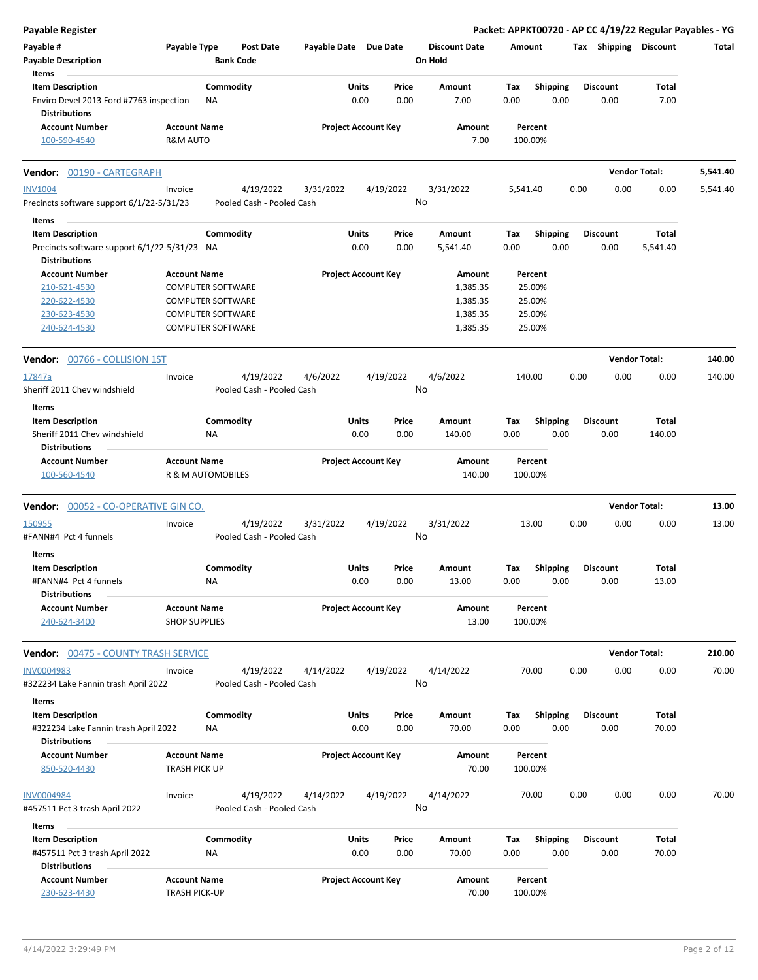| <b>Payable Register</b>                                         |                                             |                  |                           |                       |                            |           |                      |                    |                 |      |                       | Packet: APPKT00720 - AP CC 4/19/22 Regular Payables - YG |          |
|-----------------------------------------------------------------|---------------------------------------------|------------------|---------------------------|-----------------------|----------------------------|-----------|----------------------|--------------------|-----------------|------|-----------------------|----------------------------------------------------------|----------|
| Payable #                                                       | Payable Type                                |                  | <b>Post Date</b>          | Payable Date Due Date |                            |           | <b>Discount Date</b> | Amount             |                 |      | Tax Shipping Discount |                                                          | Total    |
| <b>Payable Description</b>                                      |                                             | <b>Bank Code</b> |                           |                       |                            |           | On Hold              |                    |                 |      |                       |                                                          |          |
| Items                                                           |                                             |                  |                           |                       |                            |           |                      |                    |                 |      |                       |                                                          |          |
| <b>Item Description</b>                                         |                                             | Commodity        |                           |                       | Units                      | Price     | Amount               | Tax                | <b>Shipping</b> |      | <b>Discount</b>       | Total                                                    |          |
| Enviro Devel 2013 Ford #7763 inspection<br><b>Distributions</b> |                                             | ΝA               |                           |                       | 0.00                       | 0.00      | 7.00                 | 0.00               | 0.00            |      | 0.00                  | 7.00                                                     |          |
|                                                                 |                                             |                  |                           |                       |                            |           |                      |                    |                 |      |                       |                                                          |          |
| <b>Account Number</b><br>100-590-4540                           | <b>Account Name</b><br>R&M AUTO             |                  |                           |                       | <b>Project Account Key</b> |           | Amount<br>7.00       | Percent<br>100.00% |                 |      |                       |                                                          |          |
|                                                                 |                                             |                  |                           |                       |                            |           |                      |                    |                 |      |                       |                                                          |          |
| 00190 - CARTEGRAPH<br>Vendor:                                   |                                             |                  |                           |                       |                            |           |                      |                    |                 |      |                       | <b>Vendor Total:</b>                                     | 5,541.40 |
| <b>INV1004</b>                                                  | Invoice                                     |                  | 4/19/2022                 | 3/31/2022             |                            | 4/19/2022 | 3/31/2022            | 5,541.40           |                 | 0.00 | 0.00                  | 0.00                                                     | 5,541.40 |
| Precincts software support 6/1/22-5/31/23                       |                                             |                  | Pooled Cash - Pooled Cash |                       |                            | No        |                      |                    |                 |      |                       |                                                          |          |
| Items                                                           |                                             |                  |                           |                       |                            |           |                      |                    |                 |      |                       |                                                          |          |
| <b>Item Description</b>                                         |                                             | Commodity        |                           |                       | Units                      | Price     | Amount               | Tax                | Shipping        |      | <b>Discount</b>       | Total                                                    |          |
| Precincts software support 6/1/22-5/31/23 NA                    |                                             |                  |                           |                       | 0.00                       | 0.00      | 5,541.40             | 0.00               | 0.00            |      | 0.00                  | 5,541.40                                                 |          |
| <b>Distributions</b>                                            | <b>Account Name</b>                         |                  |                           |                       | <b>Project Account Key</b> |           |                      |                    |                 |      |                       |                                                          |          |
| <b>Account Number</b>                                           |                                             |                  |                           |                       |                            |           | Amount               | Percent            |                 |      |                       |                                                          |          |
| 210-621-4530                                                    | <b>COMPUTER SOFTWARE</b>                    |                  |                           |                       |                            |           | 1,385.35             |                    | 25.00%          |      |                       |                                                          |          |
| 220-622-4530                                                    | <b>COMPUTER SOFTWARE</b>                    |                  |                           |                       |                            |           | 1,385.35             |                    | 25.00%          |      |                       |                                                          |          |
| 230-623-4530                                                    | <b>COMPUTER SOFTWARE</b>                    |                  |                           |                       |                            |           | 1,385.35             |                    | 25.00%          |      |                       |                                                          |          |
| 240-624-4530                                                    | <b>COMPUTER SOFTWARE</b>                    |                  |                           |                       |                            |           | 1,385.35             |                    | 25.00%          |      |                       |                                                          |          |
| <b>Vendor: 00766 - COLLISION 1ST</b>                            |                                             |                  |                           |                       |                            |           |                      |                    |                 |      |                       | <b>Vendor Total:</b>                                     | 140.00   |
| 17847a                                                          | Invoice                                     |                  | 4/19/2022                 | 4/6/2022              |                            | 4/19/2022 | 4/6/2022             | 140.00             |                 | 0.00 | 0.00                  | 0.00                                                     | 140.00   |
| Sheriff 2011 Chev windshield                                    |                                             |                  | Pooled Cash - Pooled Cash |                       |                            | No        |                      |                    |                 |      |                       |                                                          |          |
| Items                                                           |                                             |                  |                           |                       |                            |           |                      |                    |                 |      |                       |                                                          |          |
| <b>Item Description</b>                                         |                                             | Commodity        |                           |                       | Units                      | Price     | Amount               | Tax                | <b>Shipping</b> |      | <b>Discount</b>       | Total                                                    |          |
| Sheriff 2011 Chev windshield                                    |                                             | <b>NA</b>        |                           |                       | 0.00                       | 0.00      | 140.00               | 0.00               | 0.00            |      | 0.00                  | 140.00                                                   |          |
| <b>Distributions</b>                                            |                                             |                  |                           |                       |                            |           |                      |                    |                 |      |                       |                                                          |          |
| <b>Account Number</b>                                           | <b>Account Name</b>                         |                  |                           |                       | <b>Project Account Key</b> |           | Amount               | Percent            |                 |      |                       |                                                          |          |
| 100-560-4540                                                    | R & M AUTOMOBILES                           |                  |                           |                       |                            |           | 140.00               | 100.00%            |                 |      |                       |                                                          |          |
|                                                                 |                                             |                  |                           |                       |                            |           |                      |                    |                 |      |                       |                                                          |          |
| Vendor: 00052 - CO-OPERATIVE GIN CO.                            |                                             |                  |                           |                       |                            |           |                      |                    |                 |      |                       | <b>Vendor Total:</b>                                     | 13.00    |
| 150955                                                          | Invoice                                     |                  | 4/19/2022                 | 3/31/2022             |                            | 4/19/2022 | 3/31/2022            | 13.00              |                 | 0.00 | 0.00                  | 0.00                                                     | 13.00    |
| #FANN#4 Pct 4 funnels                                           |                                             |                  | Pooled Cash - Pooled Cash |                       |                            | No        |                      |                    |                 |      |                       |                                                          |          |
| Items                                                           |                                             |                  |                           |                       |                            |           |                      |                    |                 |      |                       |                                                          |          |
| <b>Item Description</b>                                         |                                             | Commodity        |                           |                       | Units                      | Price     | Amount               | Tax                | <b>Shipping</b> |      | <b>Discount</b>       | Total                                                    |          |
| #FANN#4 Pct 4 funnels                                           |                                             | NA               |                           |                       | 0.00                       | 0.00      | 13.00                | 0.00               | 0.00            |      | 0.00                  | 13.00                                                    |          |
| <b>Distributions</b>                                            |                                             |                  |                           |                       |                            |           |                      |                    |                 |      |                       |                                                          |          |
| <b>Account Number</b>                                           | <b>Account Name</b>                         |                  |                           |                       | <b>Project Account Key</b> |           | Amount               | Percent            |                 |      |                       |                                                          |          |
| 240-624-3400                                                    | <b>SHOP SUPPLIES</b>                        |                  |                           |                       |                            |           | 13.00                | 100.00%            |                 |      |                       |                                                          |          |
| Vendor: 00475 - COUNTY TRASH SERVICE                            |                                             |                  |                           |                       |                            |           |                      |                    |                 |      |                       | <b>Vendor Total:</b>                                     | 210.00   |
|                                                                 |                                             |                  |                           |                       |                            |           |                      |                    |                 |      |                       |                                                          |          |
| <b>INV0004983</b>                                               | Invoice                                     |                  | 4/19/2022                 | 4/14/2022             |                            | 4/19/2022 | 4/14/2022            | 70.00              |                 | 0.00 | 0.00                  | 0.00                                                     | 70.00    |
| #322234 Lake Fannin trash April 2022                            |                                             |                  | Pooled Cash - Pooled Cash |                       |                            | No        |                      |                    |                 |      |                       |                                                          |          |
| Items                                                           |                                             |                  |                           |                       |                            |           |                      |                    |                 |      |                       |                                                          |          |
| <b>Item Description</b>                                         |                                             | Commodity        |                           |                       | Units                      | Price     | Amount               | Tax                | <b>Shipping</b> |      | <b>Discount</b>       | Total                                                    |          |
| #322234 Lake Fannin trash April 2022                            |                                             | ΝA               |                           |                       | 0.00                       | 0.00      | 70.00                | 0.00               | 0.00            |      | 0.00                  | 70.00                                                    |          |
| <b>Distributions</b>                                            |                                             |                  |                           |                       |                            |           |                      |                    |                 |      |                       |                                                          |          |
| <b>Account Number</b>                                           | <b>Account Name</b>                         |                  |                           |                       | <b>Project Account Key</b> |           | Amount               | Percent            |                 |      |                       |                                                          |          |
| 850-520-4430                                                    | TRASH PICK UP                               |                  |                           |                       |                            |           | 70.00                | 100.00%            |                 |      |                       |                                                          |          |
| INV0004984                                                      | Invoice                                     |                  | 4/19/2022                 | 4/14/2022             |                            | 4/19/2022 | 4/14/2022            | 70.00              |                 | 0.00 | 0.00                  | 0.00                                                     | 70.00    |
| #457511 Pct 3 trash April 2022                                  |                                             |                  | Pooled Cash - Pooled Cash |                       |                            | No        |                      |                    |                 |      |                       |                                                          |          |
|                                                                 |                                             |                  |                           |                       |                            |           |                      |                    |                 |      |                       |                                                          |          |
| Items                                                           |                                             |                  |                           |                       |                            |           |                      |                    |                 |      |                       |                                                          |          |
| <b>Item Description</b>                                         |                                             | Commodity        |                           |                       | Units                      | Price     | Amount               | Tax                | Shipping        |      | <b>Discount</b>       | Total                                                    |          |
| #457511 Pct 3 trash April 2022                                  |                                             | ΝA               |                           |                       | 0.00                       | 0.00      | 70.00                | 0.00               | 0.00            |      | 0.00                  | 70.00                                                    |          |
| <b>Distributions</b>                                            |                                             |                  |                           |                       |                            |           |                      |                    |                 |      |                       |                                                          |          |
| <b>Account Number</b>                                           | <b>Account Name</b><br><b>TRASH PICK-UP</b> |                  |                           |                       | <b>Project Account Key</b> |           | Amount<br>70.00      |                    | Percent         |      |                       |                                                          |          |
| 230-623-4430                                                    |                                             |                  |                           |                       |                            |           |                      | 100.00%            |                 |      |                       |                                                          |          |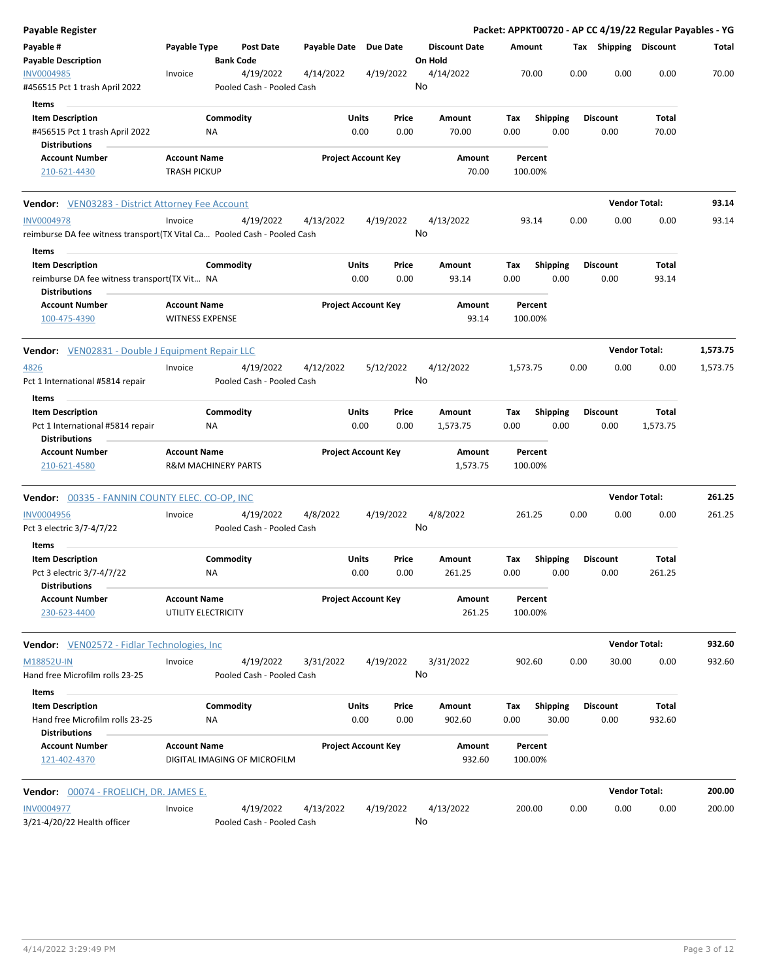| <b>Payable Register</b>                                                             |                                            |                                        |                       |                            |               |                                 |                    |                         |      |                         | Packet: APPKT00720 - AP CC 4/19/22 Regular Payables - YG |          |
|-------------------------------------------------------------------------------------|--------------------------------------------|----------------------------------------|-----------------------|----------------------------|---------------|---------------------------------|--------------------|-------------------------|------|-------------------------|----------------------------------------------------------|----------|
| Payable #<br><b>Payable Description</b>                                             | Payable Type                               | Post Date<br><b>Bank Code</b>          | Payable Date Due Date |                            |               | <b>Discount Date</b><br>On Hold | Amount             |                         |      | Tax Shipping Discount   |                                                          | Total    |
| INV0004985<br>#456515 Pct 1 trash April 2022                                        | Invoice                                    | 4/19/2022<br>Pooled Cash - Pooled Cash | 4/14/2022             |                            | 4/19/2022     | 4/14/2022<br>No                 | 70.00              |                         | 0.00 | 0.00                    | 0.00                                                     | 70.00    |
| Items                                                                               |                                            |                                        |                       |                            |               |                                 |                    |                         |      |                         |                                                          |          |
| <b>Item Description</b>                                                             |                                            | Commodity                              |                       | Units                      | Price         | Amount                          | Tax                | <b>Shipping</b>         |      | <b>Discount</b>         | Total                                                    |          |
| #456515 Pct 1 trash April 2022<br><b>Distributions</b>                              | ΝA                                         |                                        |                       | 0.00                       | 0.00          | 70.00                           | 0.00               | 0.00                    |      | 0.00                    | 70.00                                                    |          |
| <b>Account Number</b><br>210-621-4430                                               | <b>Account Name</b><br><b>TRASH PICKUP</b> |                                        |                       | <b>Project Account Key</b> |               | Amount<br>70.00                 | Percent<br>100.00% |                         |      |                         |                                                          |          |
| <b>Vendor:</b> VEN03283 - District Attorney Fee Account                             |                                            |                                        |                       |                            |               |                                 |                    |                         |      |                         | <b>Vendor Total:</b>                                     | 93.14    |
| <b>INV0004978</b>                                                                   | Invoice                                    | 4/19/2022                              | 4/13/2022             |                            | 4/19/2022     | 4/13/2022                       | 93.14              |                         | 0.00 | 0.00                    | 0.00                                                     | 93.14    |
| reimburse DA fee witness transport(TX Vital Ca Pooled Cash - Pooled Cash            |                                            |                                        |                       |                            |               | No                              |                    |                         |      |                         |                                                          |          |
| Items                                                                               |                                            |                                        |                       |                            |               |                                 |                    |                         |      |                         |                                                          |          |
| <b>Item Description</b>                                                             |                                            | Commodity                              |                       | Units                      | Price         | Amount                          | Tax                | Shipping                |      | <b>Discount</b>         | Total                                                    |          |
| reimburse DA fee witness transport(TX Vit NA                                        |                                            |                                        |                       | 0.00                       | 0.00          | 93.14                           | 0.00               | 0.00                    |      | 0.00                    | 93.14                                                    |          |
| <b>Distributions</b>                                                                |                                            |                                        |                       |                            |               |                                 |                    |                         |      |                         |                                                          |          |
| <b>Account Number</b>                                                               | <b>Account Name</b>                        |                                        |                       | <b>Project Account Key</b> |               | Amount                          | Percent            |                         |      |                         |                                                          |          |
| 100-475-4390                                                                        | <b>WITNESS EXPENSE</b>                     |                                        |                       |                            |               | 93.14                           | 100.00%            |                         |      |                         |                                                          |          |
| <b>Vendor:</b> VEN02831 - Double J Equipment Repair LLC                             |                                            |                                        |                       |                            |               |                                 |                    |                         |      |                         | <b>Vendor Total:</b>                                     | 1,573.75 |
| 4826                                                                                | Invoice                                    | 4/19/2022                              | 4/12/2022             |                            | 5/12/2022     | 4/12/2022                       | 1,573.75           |                         | 0.00 | 0.00                    | 0.00                                                     | 1,573.75 |
| Pct 1 International #5814 repair                                                    |                                            | Pooled Cash - Pooled Cash              |                       |                            |               | No                              |                    |                         |      |                         |                                                          |          |
| Items                                                                               |                                            |                                        |                       |                            |               |                                 |                    |                         |      |                         |                                                          |          |
| <b>Item Description</b><br>Pct 1 International #5814 repair<br><b>Distributions</b> | NA                                         | Commodity                              |                       | Units<br>0.00              | Price<br>0.00 | Amount<br>1,573.75              | Tax<br>0.00        | <b>Shipping</b><br>0.00 |      | <b>Discount</b><br>0.00 | Total<br>1,573.75                                        |          |
| <b>Account Number</b>                                                               | <b>Account Name</b>                        |                                        |                       | <b>Project Account Key</b> |               | Amount                          | Percent            |                         |      |                         |                                                          |          |
| 210-621-4580                                                                        | <b>R&amp;M MACHINERY PARTS</b>             |                                        |                       |                            |               | 1,573.75                        | 100.00%            |                         |      |                         |                                                          |          |
| <b>Vendor:</b> 00335 - FANNIN COUNTY ELEC. CO-OP, INC                               |                                            |                                        |                       |                            |               |                                 |                    |                         |      |                         | <b>Vendor Total:</b>                                     | 261.25   |
| <b>INV0004956</b>                                                                   | Invoice                                    | 4/19/2022                              | 4/8/2022              |                            | 4/19/2022     | 4/8/2022                        | 261.25             |                         | 0.00 | 0.00                    | 0.00                                                     | 261.25   |
| Pct 3 electric 3/7-4/7/22                                                           |                                            | Pooled Cash - Pooled Cash              |                       |                            |               | No                              |                    |                         |      |                         |                                                          |          |
| Items<br><b>Item Description</b>                                                    |                                            | Commodity                              |                       | Units                      | Price         | Amount                          | Tax                | <b>Shipping</b>         |      | <b>Discount</b>         | Total                                                    |          |
| Pct 3 electric 3/7-4/7/22<br><b>Distributions</b>                                   | ΝA                                         |                                        |                       | 0.00                       | 0.00          | 261.25                          | 0.00               | 0.00                    |      | 0.00                    | 261.25                                                   |          |
| <b>Account Number</b><br>230-623-4400                                               | <b>Account Name</b><br>UTILITY ELECTRICITY |                                        |                       | <b>Project Account Key</b> |               | Amount<br>261.25                | Percent<br>100.00% |                         |      |                         |                                                          |          |
| <b>Vendor:</b> VEN02572 - Fidlar Technologies, Inc                                  |                                            |                                        |                       |                            |               |                                 |                    |                         |      |                         | <b>Vendor Total:</b>                                     | 932.60   |
| M18852U-IN                                                                          | Invoice                                    | 4/19/2022                              | 3/31/2022             |                            | 4/19/2022     | 3/31/2022                       | 902.60             |                         | 0.00 | 30.00                   | 0.00                                                     | 932.60   |
| Hand free Microfilm rolls 23-25<br>Items                                            |                                            | Pooled Cash - Pooled Cash              |                       |                            |               | No                              |                    |                         |      |                         |                                                          |          |
| <b>Item Description</b>                                                             |                                            | Commodity                              |                       | Units                      | Price         | Amount                          | Tax                | <b>Shipping</b>         |      | <b>Discount</b>         | Total                                                    |          |
| Hand free Microfilm rolls 23-25<br><b>Distributions</b>                             | NA                                         |                                        |                       | 0.00                       | 0.00          | 902.60                          | 0.00               | 30.00                   |      | 0.00                    | 932.60                                                   |          |
| <b>Account Number</b><br>121-402-4370                                               | <b>Account Name</b>                        | DIGITAL IMAGING OF MICROFILM           |                       | <b>Project Account Key</b> |               | Amount<br>932.60                | Percent<br>100.00% |                         |      |                         |                                                          |          |
| Vendor: 00074 - FROELICH, DR. JAMES E.                                              |                                            |                                        |                       |                            |               |                                 |                    |                         |      |                         | <b>Vendor Total:</b>                                     | 200.00   |
|                                                                                     |                                            |                                        |                       |                            |               |                                 |                    |                         |      |                         |                                                          |          |
| <b>INV0004977</b><br>3/21-4/20/22 Health officer                                    | Invoice                                    | 4/19/2022<br>Pooled Cash - Pooled Cash | 4/13/2022             |                            | 4/19/2022     | 4/13/2022<br>No                 | 200.00             |                         | 0.00 | 0.00                    | 0.00                                                     | 200.00   |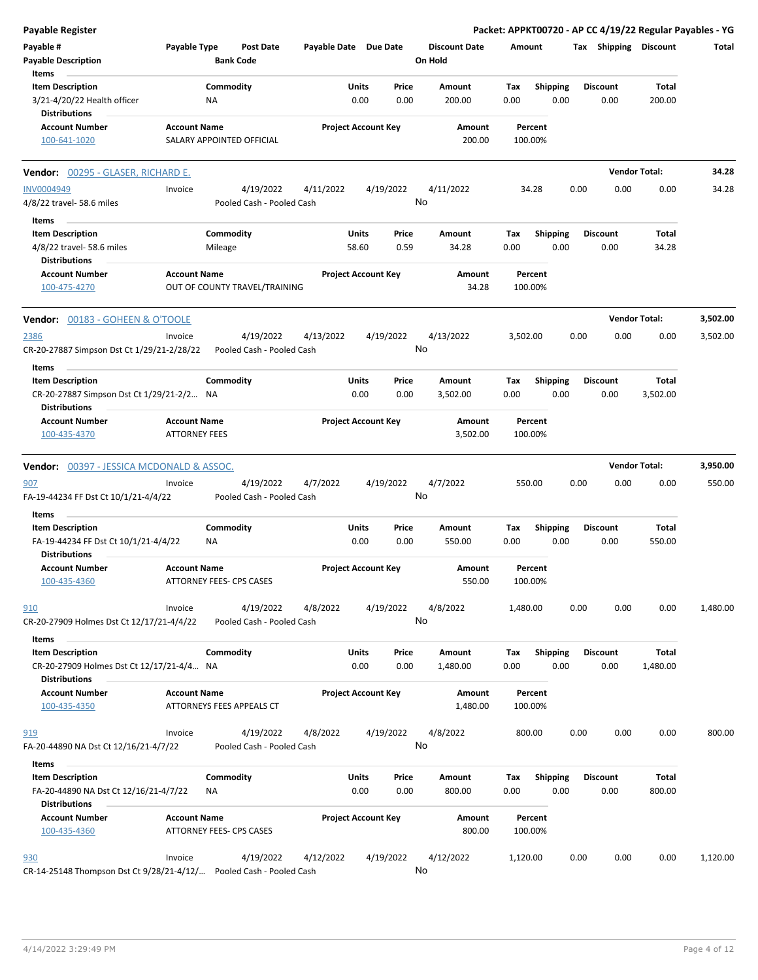| <b>Payable Register</b>                                              |                                             |                                        |                       |                                       |                                 | Packet: APPKT00720 - AP CC 4/19/22 Regular Payables - YG |      |                         |                      |          |
|----------------------------------------------------------------------|---------------------------------------------|----------------------------------------|-----------------------|---------------------------------------|---------------------------------|----------------------------------------------------------|------|-------------------------|----------------------|----------|
| Payable #<br><b>Payable Description</b>                              | Payable Type                                | Post Date<br><b>Bank Code</b>          | Payable Date Due Date |                                       | <b>Discount Date</b><br>On Hold | Amount                                                   |      | Tax Shipping Discount   |                      | Total    |
| Items                                                                |                                             |                                        |                       |                                       |                                 |                                                          |      |                         |                      |          |
| <b>Item Description</b><br>3/21-4/20/22 Health officer               |                                             | Commodity<br>NA                        |                       | Price<br>Units<br>0.00<br>0.00        | Amount<br>200.00                | Tax<br><b>Shipping</b><br>0.00                           | 0.00 | <b>Discount</b><br>0.00 | Total<br>200.00      |          |
| <b>Distributions</b>                                                 |                                             |                                        |                       |                                       |                                 |                                                          |      |                         |                      |          |
| <b>Account Number</b>                                                | <b>Account Name</b>                         |                                        |                       | <b>Project Account Key</b>            | Amount                          | Percent                                                  |      |                         |                      |          |
| 100-641-1020                                                         |                                             | SALARY APPOINTED OFFICIAL              |                       |                                       | 200.00                          | 100.00%                                                  |      |                         |                      |          |
| Vendor: 00295 - GLASER, RICHARD E.                                   |                                             |                                        |                       |                                       |                                 |                                                          |      |                         | <b>Vendor Total:</b> | 34.28    |
| <b>INV0004949</b><br>4/8/22 travel- 58.6 miles                       | Invoice                                     | 4/19/2022<br>Pooled Cash - Pooled Cash | 4/11/2022             | 4/19/2022                             | 4/11/2022<br>No                 | 34.28                                                    | 0.00 | 0.00                    | 0.00                 | 34.28    |
| Items                                                                |                                             |                                        |                       |                                       |                                 |                                                          |      |                         |                      |          |
| <b>Item Description</b>                                              |                                             | Commodity                              |                       | Units<br>Price                        | Amount                          | <b>Shipping</b><br>Tax                                   |      | <b>Discount</b>         | Total                |          |
| 4/8/22 travel- 58.6 miles<br><b>Distributions</b>                    |                                             | Mileage                                |                       | 58.60<br>0.59                         | 34.28                           | 0.00                                                     | 0.00 | 0.00                    | 34.28                |          |
| <b>Account Number</b><br>100-475-4270                                | <b>Account Name</b>                         | OUT OF COUNTY TRAVEL/TRAINING          |                       | <b>Project Account Key</b>            | Amount<br>34.28                 | Percent<br>100.00%                                       |      |                         |                      |          |
| <b>Vendor: 00183 - GOHEEN &amp; O'TOOLE</b>                          |                                             |                                        |                       |                                       |                                 |                                                          |      |                         | <b>Vendor Total:</b> | 3,502.00 |
| 2386<br>CR-20-27887 Simpson Dst Ct 1/29/21-2/28/22                   | Invoice                                     | 4/19/2022<br>Pooled Cash - Pooled Cash | 4/13/2022             | 4/19/2022                             | 4/13/2022<br>No                 | 3,502.00                                                 | 0.00 | 0.00                    | 0.00                 | 3,502.00 |
| Items                                                                |                                             |                                        |                       |                                       |                                 |                                                          |      |                         |                      |          |
| <b>Item Description</b><br>CR-20-27887 Simpson Dst Ct 1/29/21-2/2 NA |                                             | Commodity                              |                       | Units<br>Price<br>0.00<br>0.00        | Amount<br>3,502.00              | Shipping<br>Tax<br>0.00                                  | 0.00 | <b>Discount</b><br>0.00 | Total<br>3,502.00    |          |
| Distributions<br><b>Account Number</b><br>100-435-4370               | <b>Account Name</b><br><b>ATTORNEY FEES</b> |                                        |                       | <b>Project Account Key</b>            | Amount<br>3,502.00              | Percent<br>100.00%                                       |      |                         |                      |          |
|                                                                      |                                             |                                        |                       |                                       |                                 |                                                          |      |                         |                      |          |
| <b>Vendor: 00397 - JESSICA MCDONALD &amp; ASSOC.</b>                 |                                             |                                        |                       |                                       |                                 |                                                          |      |                         | <b>Vendor Total:</b> | 3,950.00 |
| 907<br>FA-19-44234 FF Dst Ct 10/1/21-4/4/22                          | Invoice                                     | 4/19/2022<br>Pooled Cash - Pooled Cash | 4/7/2022              | 4/19/2022                             | 4/7/2022<br>No                  | 550.00                                                   | 0.00 | 0.00                    | 0.00                 | 550.00   |
|                                                                      |                                             |                                        |                       |                                       |                                 |                                                          |      |                         |                      |          |
| Items<br><b>Item Description</b>                                     |                                             | Commodity                              |                       | Units<br>Price                        | Amount                          | Shipping<br>Tax                                          |      | <b>Discount</b>         | Total                |          |
| FA-19-44234 FF Dst Ct 10/1/21-4/4/22<br><b>Distributions</b>         |                                             | ΝA                                     |                       | 0.00<br>0.00                          | 550.00                          | 0.00                                                     | 0.00 | 0.00                    | 550.00               |          |
| Account Number<br>100-435-4360                                       | <b>Account Name</b>                         | ATTORNEY FEES- CPS CASES               |                       | <b>Project Account Key</b>            | Amount<br>550.00                | Percent<br>100.00%                                       |      |                         |                      |          |
| 910<br>CR-20-27909 Holmes Dst Ct 12/17/21-4/4/22                     | Invoice                                     | 4/19/2022<br>Pooled Cash - Pooled Cash | 4/8/2022              | 4/19/2022                             | 4/8/2022<br>No                  | 1,480.00                                                 | 0.00 | 0.00                    | 0.00                 | 1,480.00 |
| Items                                                                |                                             |                                        |                       |                                       |                                 |                                                          |      |                         |                      |          |
| <b>Item Description</b><br>CR-20-27909 Holmes Dst Ct 12/17/21-4/4 NA |                                             | Commodity                              |                       | Units<br>Price<br>0.00<br>0.00        | Amount<br>1,480.00              | <b>Shipping</b><br>Tax<br>0.00                           | 0.00 | <b>Discount</b><br>0.00 | Total<br>1,480.00    |          |
| <b>Distributions</b>                                                 |                                             |                                        |                       |                                       |                                 |                                                          |      |                         |                      |          |
| <b>Account Number</b><br>100-435-4350                                | <b>Account Name</b>                         | ATTORNEYS FEES APPEALS CT              |                       | <b>Project Account Key</b>            | Amount<br>1,480.00              | Percent<br>100.00%                                       |      |                         |                      |          |
| 919                                                                  | Invoice                                     | 4/19/2022                              | 4/8/2022              | 4/19/2022                             | 4/8/2022                        | 800.00                                                   | 0.00 | 0.00                    | 0.00                 | 800.00   |
| FA-20-44890 NA Dst Ct 12/16/21-4/7/22                                |                                             | Pooled Cash - Pooled Cash              |                       |                                       | No                              |                                                          |      |                         |                      |          |
| Items                                                                |                                             |                                        |                       |                                       |                                 |                                                          |      |                         |                      |          |
| <b>Item Description</b><br>FA-20-44890 NA Dst Ct 12/16/21-4/7/22     |                                             | Commodity<br>ΝA                        |                       | <b>Units</b><br>Price<br>0.00<br>0.00 | Amount<br>800.00                | Tax<br><b>Shipping</b><br>0.00                           | 0.00 | Discount<br>0.00        | Total<br>800.00      |          |
| <b>Distributions</b>                                                 |                                             |                                        |                       |                                       |                                 |                                                          |      |                         |                      |          |
| <b>Account Number</b><br>100-435-4360                                | <b>Account Name</b>                         | ATTORNEY FEES- CPS CASES               |                       | <b>Project Account Key</b>            | Amount<br>800.00                | Percent<br>100.00%                                       |      |                         |                      |          |
| 930                                                                  | Invoice                                     | 4/19/2022                              | 4/12/2022             | 4/19/2022                             | 4/12/2022                       | 1,120.00                                                 | 0.00 | 0.00                    | 0.00                 | 1,120.00 |
| CR-14-25148 Thompson Dst Ct 9/28/21-4/12/ Pooled Cash - Pooled Cash  |                                             |                                        |                       |                                       | No                              |                                                          |      |                         |                      |          |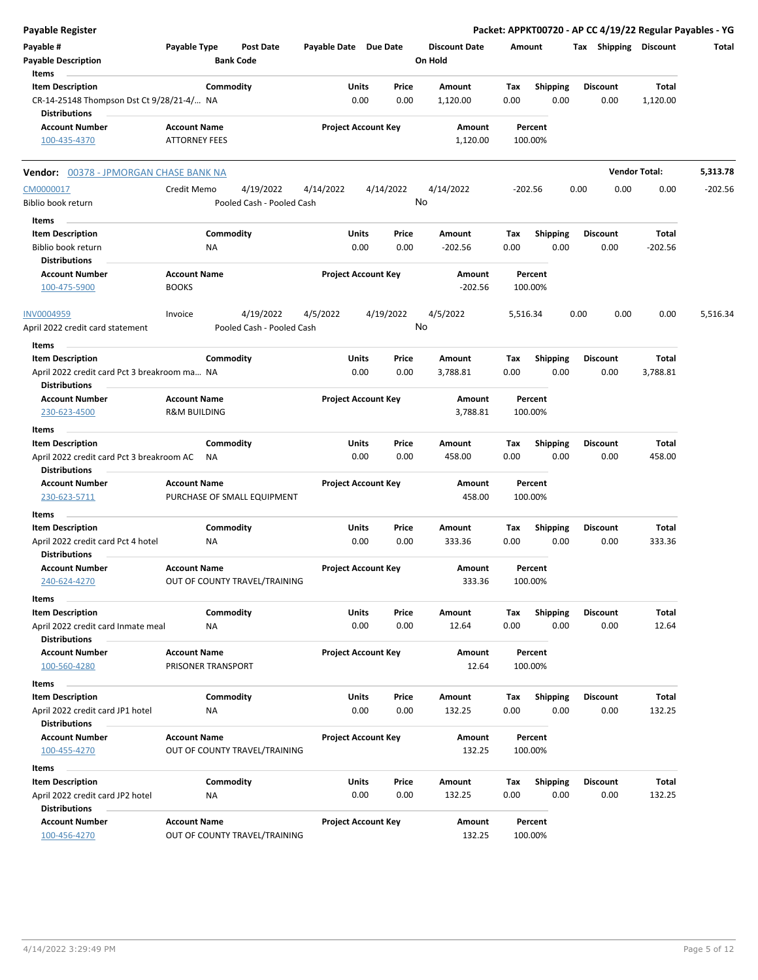| Payable Register                                                     |                                             |                               |                       |                            |                                 |             |                         |      |                         |                          | Packet: APPKT00720 - AP CC 4/19/22 Regular Payables - YG |
|----------------------------------------------------------------------|---------------------------------------------|-------------------------------|-----------------------|----------------------------|---------------------------------|-------------|-------------------------|------|-------------------------|--------------------------|----------------------------------------------------------|
| Payable #<br><b>Payable Description</b>                              | Payable Type                                | Post Date<br><b>Bank Code</b> | Payable Date Due Date |                            | <b>Discount Date</b><br>On Hold |             | Amount                  |      |                         | Tax Shipping Discount    | Total                                                    |
| Items                                                                |                                             |                               |                       |                            |                                 |             |                         |      |                         |                          |                                                          |
| <b>Item Description</b><br>CR-14-25148 Thompson Dst Ct 9/28/21-4/ NA |                                             | Commodity                     | Units                 | Price<br>0.00<br>0.00      | Amount<br>1,120.00              | Tax<br>0.00 | <b>Shipping</b><br>0.00 |      | <b>Discount</b><br>0.00 | <b>Total</b><br>1,120.00 |                                                          |
| <b>Distributions</b>                                                 |                                             |                               |                       |                            |                                 |             |                         |      |                         |                          |                                                          |
| <b>Account Number</b><br>100-435-4370                                | <b>Account Name</b><br><b>ATTORNEY FEES</b> |                               |                       | <b>Project Account Key</b> | Amount<br>1,120.00              |             | Percent<br>100.00%      |      |                         |                          |                                                          |
| <b>Vendor:</b> 00378 - JPMORGAN CHASE BANK NA                        |                                             |                               |                       |                            |                                 |             |                         |      |                         | <b>Vendor Total:</b>     | 5,313.78                                                 |
| CM0000017                                                            | Credit Memo                                 | 4/19/2022                     | 4/14/2022             | 4/14/2022                  | 4/14/2022                       |             | $-202.56$               | 0.00 | 0.00                    | 0.00                     | $-202.56$                                                |
| Biblio book return                                                   |                                             | Pooled Cash - Pooled Cash     |                       |                            | No                              |             |                         |      |                         |                          |                                                          |
| Items                                                                |                                             |                               |                       |                            |                                 |             |                         |      |                         |                          |                                                          |
| <b>Item Description</b>                                              |                                             | Commodity                     | Units                 | Price                      | Amount                          | Tax         | <b>Shipping</b>         |      | <b>Discount</b>         | <b>Total</b>             |                                                          |
| Biblio book return                                                   | ΝA                                          |                               |                       | 0.00<br>0.00               | $-202.56$                       | 0.00        | 0.00                    |      | 0.00                    | $-202.56$                |                                                          |
| <b>Distributions</b>                                                 |                                             |                               |                       |                            |                                 |             |                         |      |                         |                          |                                                          |
| <b>Account Number</b>                                                | <b>Account Name</b>                         |                               |                       | <b>Project Account Key</b> | Amount                          |             | Percent                 |      |                         |                          |                                                          |
| 100-475-5900                                                         | <b>BOOKS</b>                                |                               |                       |                            | $-202.56$                       |             | 100.00%                 |      |                         |                          |                                                          |
| <b>INV0004959</b>                                                    | Invoice                                     | 4/19/2022                     | 4/5/2022              | 4/19/2022                  | 4/5/2022                        |             | 5,516.34                | 0.00 | 0.00                    | 0.00                     | 5,516.34                                                 |
| April 2022 credit card statement                                     |                                             | Pooled Cash - Pooled Cash     |                       |                            | No                              |             |                         |      |                         |                          |                                                          |
| Items                                                                |                                             |                               |                       |                            |                                 |             |                         |      |                         |                          |                                                          |
| <b>Item Description</b>                                              |                                             | Commodity                     | Units                 | Price                      | Amount                          | Тах         | <b>Shipping</b>         |      | <b>Discount</b>         | Total                    |                                                          |
| April 2022 credit card Pct 3 breakroom ma NA<br><b>Distributions</b> |                                             |                               |                       | 0.00<br>0.00               | 3,788.81                        | 0.00        | 0.00                    |      | 0.00                    | 3,788.81                 |                                                          |
| <b>Account Number</b>                                                | <b>Account Name</b>                         |                               |                       | <b>Project Account Key</b> | Amount                          |             | Percent                 |      |                         |                          |                                                          |
| 230-623-4500                                                         | <b>R&amp;M BUILDING</b>                     |                               |                       |                            | 3,788.81                        |             | 100.00%                 |      |                         |                          |                                                          |
| Items                                                                |                                             |                               |                       |                            |                                 |             |                         |      |                         |                          |                                                          |
| <b>Item Description</b>                                              |                                             | Commodity                     | Units                 | Price                      | Amount                          | Tax         | <b>Shipping</b>         |      | <b>Discount</b>         | Total                    |                                                          |
| April 2022 credit card Pct 3 breakroom AC<br><b>Distributions</b>    | ΝA                                          |                               |                       | 0.00<br>0.00               | 458.00                          | 0.00        | 0.00                    |      | 0.00                    | 458.00                   |                                                          |
| <b>Account Number</b><br>230-623-5711                                | <b>Account Name</b>                         | PURCHASE OF SMALL EQUIPMENT   |                       | <b>Project Account Key</b> | Amount<br>458.00                |             | Percent<br>100.00%      |      |                         |                          |                                                          |
| Items                                                                |                                             |                               |                       |                            |                                 |             |                         |      |                         |                          |                                                          |
| <b>Item Description</b>                                              |                                             | Commodity                     | Units                 | Price                      | Amount                          | Tax         | <b>Shipping</b>         |      | <b>Discount</b>         | Total                    |                                                          |
| April 2022 credit card Pct 4 hotel<br><b>Distributions</b>           | ΝA                                          |                               |                       | 0.00<br>0.00               | 333.36                          | 0.00        | 0.00                    |      | 0.00                    | 333.36                   |                                                          |
| <b>Account Number</b>                                                | <b>Account Name</b>                         |                               |                       | <b>Project Account Key</b> | Amount                          |             | Percent                 |      |                         |                          |                                                          |
| 240-624-4270                                                         |                                             | OUT OF COUNTY TRAVEL/TRAINING |                       |                            | 333.36                          |             | 100.00%                 |      |                         |                          |                                                          |
| Items                                                                |                                             |                               |                       |                            |                                 |             |                         |      |                         |                          |                                                          |
| <b>Item Description</b>                                              |                                             | Commodity                     | Units                 | Price                      | Amount                          | Tax         | <b>Shipping</b>         |      | <b>Discount</b>         | Total                    |                                                          |
| April 2022 credit card Inmate meal                                   | <b>NA</b>                                   |                               |                       | 0.00<br>0.00               | 12.64                           | 0.00        | 0.00                    |      | 0.00                    | 12.64                    |                                                          |
| <b>Distributions</b>                                                 |                                             |                               |                       |                            |                                 |             |                         |      |                         |                          |                                                          |
| <b>Account Number</b><br>100-560-4280                                | <b>Account Name</b><br>PRISONER TRANSPORT   |                               |                       | <b>Project Account Key</b> | Amount<br>12.64                 |             | Percent<br>100.00%      |      |                         |                          |                                                          |
| Items                                                                |                                             |                               |                       |                            |                                 |             |                         |      |                         |                          |                                                          |
| <b>Item Description</b>                                              |                                             | Commodity                     | Units                 | Price                      | Amount                          | Tax         | <b>Shipping</b>         |      | <b>Discount</b>         | <b>Total</b>             |                                                          |
| April 2022 credit card JP1 hotel                                     | NA                                          |                               |                       | 0.00<br>0.00               | 132.25                          | 0.00        | 0.00                    |      | 0.00                    | 132.25                   |                                                          |
| <b>Distributions</b>                                                 |                                             |                               |                       |                            |                                 |             |                         |      |                         |                          |                                                          |
| <b>Account Number</b><br>100-455-4270                                | <b>Account Name</b>                         | OUT OF COUNTY TRAVEL/TRAINING |                       | <b>Project Account Key</b> | Amount<br>132.25                |             | Percent<br>100.00%      |      |                         |                          |                                                          |
| Items                                                                |                                             |                               |                       |                            |                                 |             |                         |      |                         |                          |                                                          |
| <b>Item Description</b>                                              |                                             | Commodity                     | Units                 | Price                      | Amount                          | Tax         | <b>Shipping</b>         |      | <b>Discount</b>         | Total                    |                                                          |
| April 2022 credit card JP2 hotel                                     | NA                                          |                               |                       | 0.00<br>0.00               | 132.25                          | 0.00        | 0.00                    |      | 0.00                    | 132.25                   |                                                          |
| <b>Distributions</b>                                                 |                                             |                               |                       |                            |                                 |             |                         |      |                         |                          |                                                          |
| <b>Account Number</b><br>100-456-4270                                | <b>Account Name</b>                         | OUT OF COUNTY TRAVEL/TRAINING |                       | <b>Project Account Key</b> | Amount<br>132.25                |             | Percent<br>100.00%      |      |                         |                          |                                                          |
|                                                                      |                                             |                               |                       |                            |                                 |             |                         |      |                         |                          |                                                          |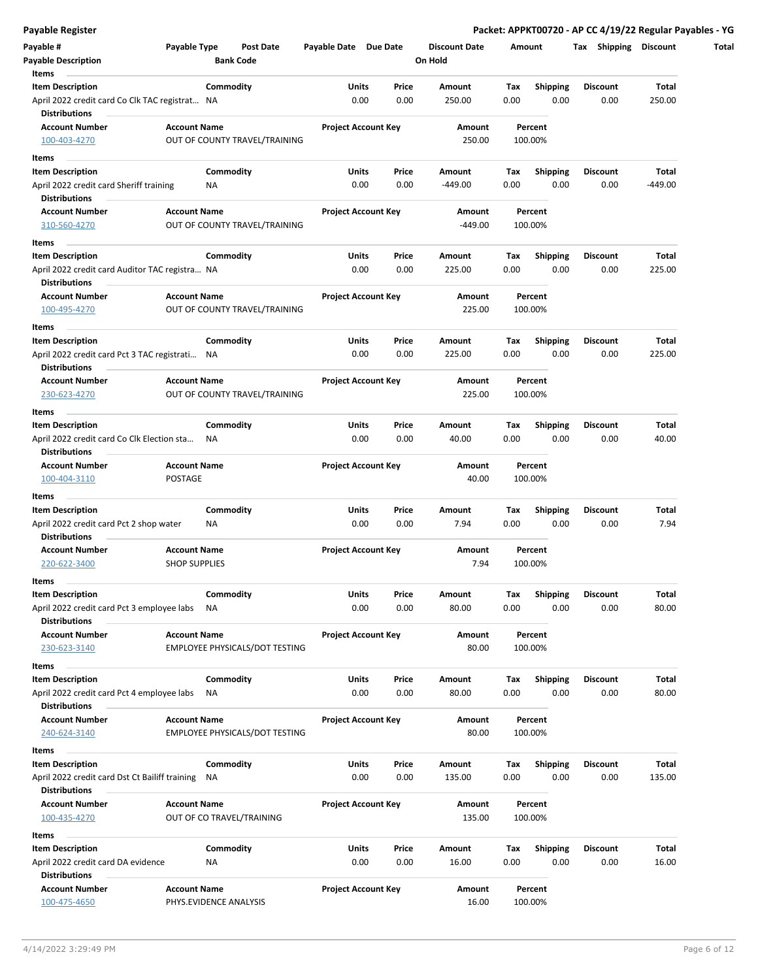| Payable #<br><b>Payable Description</b>                                | Payable Type           |           | Post Date<br><b>Bank Code</b>  | Payable Date Due Date      |       |       | <b>Discount Date</b><br>On Hold |      | Amount          | <b>Shipping</b><br>Tax | <b>Discount</b> |
|------------------------------------------------------------------------|------------------------|-----------|--------------------------------|----------------------------|-------|-------|---------------------------------|------|-----------------|------------------------|-----------------|
| Items                                                                  |                        |           |                                |                            |       |       |                                 |      |                 |                        |                 |
| <b>Item Description</b>                                                |                        | Commodity |                                |                            | Units | Price | Amount                          | Tax  | <b>Shipping</b> | <b>Discount</b>        | Total           |
| April 2022 credit card Co Clk TAC registrat NA<br><b>Distributions</b> |                        |           |                                |                            | 0.00  | 0.00  | 250.00                          | 0.00 | 0.00            | 0.00                   | 250.00          |
| <b>Account Number</b>                                                  | <b>Account Name</b>    |           |                                | <b>Project Account Key</b> |       |       | Amount                          |      | Percent         |                        |                 |
| 100-403-4270                                                           |                        |           | OUT OF COUNTY TRAVEL/TRAINING  |                            |       |       | 250.00                          |      | 100.00%         |                        |                 |
| Items                                                                  |                        |           |                                |                            |       |       |                                 |      |                 |                        |                 |
| <b>Item Description</b>                                                |                        | Commodity |                                |                            | Units | Price | Amount                          | Тах  | <b>Shipping</b> | <b>Discount</b>        | Total           |
| April 2022 credit card Sheriff training                                |                        | ΝA        |                                |                            | 0.00  | 0.00  | $-449.00$                       | 0.00 | 0.00            | 0.00                   | -449.00         |
| <b>Distributions</b>                                                   |                        |           |                                |                            |       |       |                                 |      |                 |                        |                 |
| <b>Account Number</b>                                                  | <b>Account Name</b>    |           |                                | <b>Project Account Key</b> |       |       | Amount                          |      | Percent         |                        |                 |
| 310-560-4270                                                           |                        |           | OUT OF COUNTY TRAVEL/TRAINING  |                            |       |       | $-449.00$                       |      | 100.00%         |                        |                 |
| Items                                                                  |                        |           |                                |                            |       |       |                                 |      |                 |                        |                 |
| <b>Item Description</b>                                                |                        | Commodity |                                |                            | Units | Price | Amount                          | Tax  | <b>Shipping</b> | <b>Discount</b>        | Total           |
| April 2022 credit card Auditor TAC registra NA                         |                        |           |                                |                            | 0.00  | 0.00  | 225.00                          | 0.00 | 0.00            | 0.00                   | 225.00          |
| <b>Distributions</b>                                                   |                        |           |                                |                            |       |       |                                 |      |                 |                        |                 |
| <b>Account Number</b>                                                  |                        |           |                                |                            |       |       |                                 |      |                 |                        |                 |
|                                                                        | <b>Account Name</b>    |           | OUT OF COUNTY TRAVEL/TRAINING  | <b>Project Account Key</b> |       |       | Amount                          |      | Percent         |                        |                 |
| 100-495-4270                                                           |                        |           |                                |                            |       |       | 225.00                          |      | 100.00%         |                        |                 |
| Items                                                                  |                        |           |                                |                            |       |       |                                 |      |                 |                        |                 |
| <b>Item Description</b>                                                |                        | Commodity |                                |                            | Units | Price | Amount                          | Tax  | Shipping        | <b>Discount</b>        | Total           |
| April 2022 credit card Pct 3 TAC registrati NA                         |                        |           |                                |                            | 0.00  | 0.00  | 225.00                          | 0.00 | 0.00            | 0.00                   | 225.00          |
| <b>Distributions</b>                                                   |                        |           |                                |                            |       |       |                                 |      |                 |                        |                 |
| <b>Account Number</b>                                                  | <b>Account Name</b>    |           |                                | <b>Project Account Key</b> |       |       | Amount                          |      | Percent         |                        |                 |
| 230-623-4270                                                           |                        |           | OUT OF COUNTY TRAVEL/TRAINING  |                            |       |       | 225.00                          |      | 100.00%         |                        |                 |
| Items                                                                  |                        |           |                                |                            |       |       |                                 |      |                 |                        |                 |
| <b>Item Description</b>                                                |                        | Commodity |                                |                            | Units | Price | Amount                          | Тах  | <b>Shipping</b> | <b>Discount</b>        | Total           |
| April 2022 credit card Co Clk Election sta                             |                        | <b>NA</b> |                                |                            | 0.00  | 0.00  | 40.00                           | 0.00 | 0.00            | 0.00                   | 40.00           |
| <b>Distributions</b>                                                   |                        |           |                                |                            |       |       |                                 |      |                 |                        |                 |
| <b>Account Number</b>                                                  | <b>Account Name</b>    |           |                                | <b>Project Account Key</b> |       |       | Amount                          |      | Percent         |                        |                 |
| 100-404-3110                                                           | POSTAGE                |           |                                |                            |       |       | 40.00                           |      | 100.00%         |                        |                 |
|                                                                        |                        |           |                                |                            |       |       |                                 |      |                 |                        |                 |
| Items                                                                  |                        |           |                                |                            |       |       |                                 |      |                 |                        |                 |
| <b>Item Description</b>                                                |                        | Commodity |                                |                            | Units | Price | Amount                          | Tax  | <b>Shipping</b> | <b>Discount</b>        | Total           |
| April 2022 credit card Pct 2 shop water                                |                        | ΝA        |                                |                            | 0.00  | 0.00  | 7.94                            | 0.00 | 0.00            | 0.00                   | 7.94            |
| <b>Distributions</b>                                                   |                        |           |                                |                            |       |       |                                 |      |                 |                        |                 |
| <b>Account Number</b>                                                  | <b>Account Name</b>    |           |                                | <b>Project Account Key</b> |       |       | Amount                          |      | Percent         |                        |                 |
| 220-622-3400                                                           | <b>SHOP SUPPLIES</b>   |           |                                |                            |       |       | 7.94                            |      | 100.00%         |                        |                 |
| Items                                                                  |                        |           |                                |                            |       |       |                                 |      |                 |                        |                 |
| <b>Item Description</b>                                                |                        | Commodity |                                |                            | Units | Price | Amount                          |      | Tax Shipping    | <b>Discount</b>        | Total           |
| April 2022 credit card Pct 3 employee labs                             |                        | NA        |                                |                            | 0.00  | 0.00  | 80.00                           | 0.00 | 0.00            | 0.00                   | 80.00           |
| <b>Distributions</b>                                                   |                        |           |                                |                            |       |       |                                 |      |                 |                        |                 |
| <b>Account Number</b>                                                  | <b>Account Name</b>    |           |                                | <b>Project Account Key</b> |       |       | Amount                          |      | Percent         |                        |                 |
| 230-623-3140                                                           |                        |           | EMPLOYEE PHYSICALS/DOT TESTING |                            |       |       | 80.00                           |      | 100.00%         |                        |                 |
|                                                                        |                        |           |                                |                            |       |       |                                 |      |                 |                        |                 |
| Items                                                                  |                        |           |                                |                            |       |       |                                 |      |                 |                        |                 |
| <b>Item Description</b>                                                |                        | Commodity |                                |                            | Units | Price | Amount                          | Tax  | <b>Shipping</b> | <b>Discount</b>        | Total           |
| April 2022 credit card Pct 4 employee labs                             |                        | ΝA        |                                |                            | 0.00  | 0.00  | 80.00                           | 0.00 | 0.00            | 0.00                   | 80.00           |
| <b>Distributions</b>                                                   |                        |           |                                |                            |       |       |                                 |      |                 |                        |                 |
| <b>Account Number</b>                                                  | <b>Account Name</b>    |           |                                | <b>Project Account Key</b> |       |       | Amount                          |      | Percent         |                        |                 |
| 240-624-3140                                                           |                        |           | EMPLOYEE PHYSICALS/DOT TESTING |                            |       |       | 80.00                           |      | 100.00%         |                        |                 |
| Items                                                                  |                        |           |                                |                            |       |       |                                 |      |                 |                        |                 |
| Item Description                                                       |                        | Commodity |                                |                            | Units | Price | Amount                          | Tax  | <b>Shipping</b> | Discount               | Total           |
| April 2022 credit card Dst Ct Bailiff training                         |                        | NA        |                                |                            | 0.00  | 0.00  | 135.00                          | 0.00 | 0.00            | 0.00                   | 135.00          |
| <b>Distributions</b>                                                   |                        |           |                                |                            |       |       |                                 |      |                 |                        |                 |
| <b>Account Number</b>                                                  | <b>Account Name</b>    |           |                                | <b>Project Account Key</b> |       |       | Amount                          |      | Percent         |                        |                 |
| 100-435-4270                                                           |                        |           | OUT OF CO TRAVEL/TRAINING      |                            |       |       | 135.00                          |      | 100.00%         |                        |                 |
|                                                                        |                        |           |                                |                            |       |       |                                 |      |                 |                        |                 |
| Items                                                                  |                        |           |                                |                            |       |       |                                 |      |                 |                        |                 |
| <b>Item Description</b>                                                |                        | Commodity |                                |                            | Units | Price | Amount                          | Тах  | <b>Shipping</b> | <b>Discount</b>        | Total           |
| April 2022 credit card DA evidence                                     |                        | ΝA        |                                |                            | 0.00  | 0.00  | 16.00                           | 0.00 | 0.00            | 0.00                   | 16.00           |
| <b>Distributions</b>                                                   |                        |           |                                |                            |       |       |                                 |      |                 |                        |                 |
| <b>Account Number</b>                                                  | <b>Account Name</b>    |           |                                | <b>Project Account Key</b> |       |       | Amount                          |      | Percent         |                        |                 |
| 100-475-4650                                                           | PHYS.EVIDENCE ANALYSIS |           |                                |                            |       |       | 16.00                           |      | 100.00%         |                        |                 |
|                                                                        |                        |           |                                |                            |       |       |                                 |      |                 |                        |                 |

**Payable Register Packet: APPKT00720 - AP CC 4/19/22 Regular Payables - YG**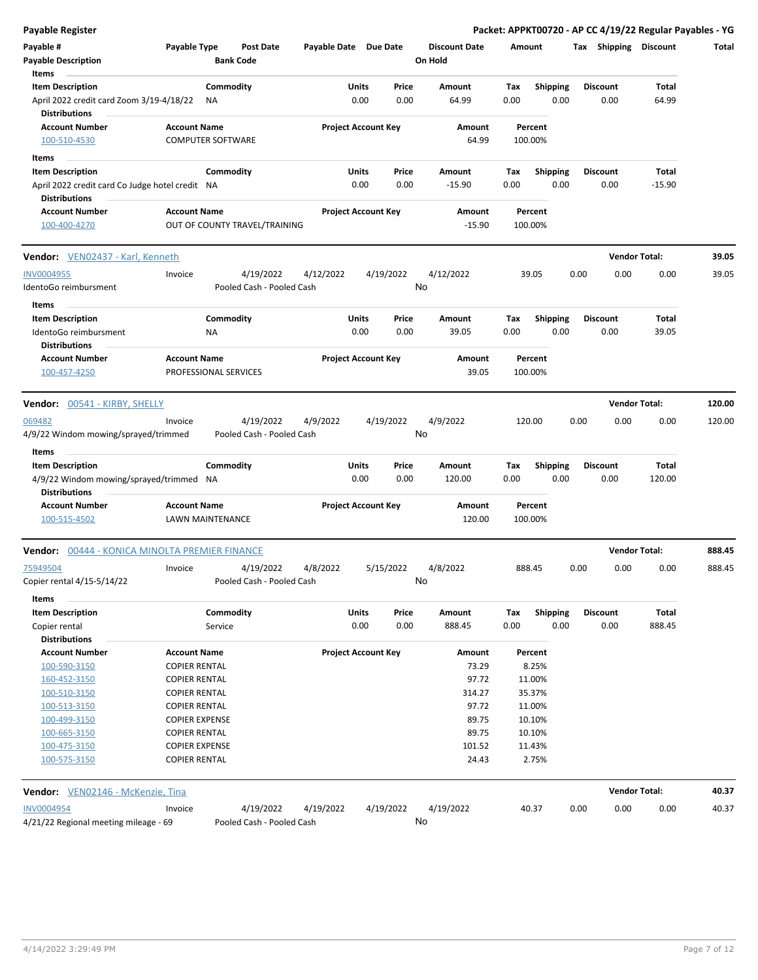| <b>Payable Register</b>                                                 |                       |                          |                                      |                       |                            |           |                                 |        |                 |      |                       | Packet: APPKT00720 - AP CC 4/19/22 Regular Payables - YG |        |
|-------------------------------------------------------------------------|-----------------------|--------------------------|--------------------------------------|-----------------------|----------------------------|-----------|---------------------------------|--------|-----------------|------|-----------------------|----------------------------------------------------------|--------|
| Payable #<br><b>Payable Description</b>                                 | Payable Type          |                          | <b>Post Date</b><br><b>Bank Code</b> | Payable Date Due Date |                            |           | <b>Discount Date</b><br>On Hold | Amount |                 |      | Tax Shipping Discount |                                                          | Total  |
| Items                                                                   |                       |                          |                                      |                       |                            |           |                                 |        |                 |      |                       |                                                          |        |
| <b>Item Description</b>                                                 |                       | Commodity                |                                      |                       | Units                      | Price     | Amount                          | Tax    | <b>Shipping</b> |      | <b>Discount</b>       | Total                                                    |        |
| April 2022 credit card Zoom 3/19-4/18/22<br><b>Distributions</b>        |                       | ΝA                       |                                      |                       | 0.00                       | 0.00      | 64.99                           | 0.00   | 0.00            |      | 0.00                  | 64.99                                                    |        |
| <b>Account Number</b>                                                   | <b>Account Name</b>   |                          |                                      |                       | <b>Project Account Key</b> |           | Amount                          |        | Percent         |      |                       |                                                          |        |
| 100-510-4530                                                            |                       | <b>COMPUTER SOFTWARE</b> |                                      |                       |                            |           | 64.99                           |        | 100.00%         |      |                       |                                                          |        |
| Items                                                                   |                       |                          |                                      |                       |                            |           |                                 |        |                 |      |                       |                                                          |        |
| <b>Item Description</b>                                                 |                       | Commodity                |                                      |                       | Units                      | Price     | Amount                          | Tax    | <b>Shipping</b> |      | <b>Discount</b>       | Total                                                    |        |
| April 2022 credit card Co Judge hotel credit NA<br><b>Distributions</b> |                       |                          |                                      |                       | 0.00                       | 0.00      | $-15.90$                        | 0.00   | 0.00            |      | 0.00                  | $-15.90$                                                 |        |
| <b>Account Number</b>                                                   | <b>Account Name</b>   |                          |                                      |                       | <b>Project Account Key</b> |           | Amount                          |        | Percent         |      |                       |                                                          |        |
| 100-400-4270                                                            |                       |                          | OUT OF COUNTY TRAVEL/TRAINING        |                       |                            |           | $-15.90$                        |        | 100.00%         |      |                       |                                                          |        |
| Vendor: VEN02437 - Karl, Kenneth                                        |                       |                          |                                      |                       |                            |           |                                 |        |                 |      |                       | <b>Vendor Total:</b>                                     | 39.05  |
| <b>INV0004955</b>                                                       | Invoice               |                          | 4/19/2022                            | 4/12/2022             |                            | 4/19/2022 | 4/12/2022                       |        | 39.05           | 0.00 | 0.00                  | 0.00                                                     | 39.05  |
| IdentoGo reimbursment                                                   |                       |                          | Pooled Cash - Pooled Cash            |                       |                            |           | No                              |        |                 |      |                       |                                                          |        |
| Items                                                                   |                       |                          |                                      |                       |                            |           |                                 |        |                 |      |                       |                                                          |        |
| <b>Item Description</b>                                                 |                       | Commodity                |                                      |                       | Units                      | Price     | Amount                          | Tax    | <b>Shipping</b> |      | <b>Discount</b>       | Total                                                    |        |
| IdentoGo reimbursment<br><b>Distributions</b>                           |                       | NA                       |                                      |                       | 0.00                       | 0.00      | 39.05                           | 0.00   | 0.00            |      | 0.00                  | 39.05                                                    |        |
| <b>Account Number</b>                                                   | <b>Account Name</b>   |                          |                                      |                       | <b>Project Account Key</b> |           | Amount                          |        | Percent         |      |                       |                                                          |        |
| 100-457-4250                                                            |                       | PROFESSIONAL SERVICES    |                                      |                       |                            |           | 39.05                           |        | 100.00%         |      |                       |                                                          |        |
| <b>Vendor:</b> 00541 - KIRBY, SHELLY                                    |                       |                          |                                      |                       |                            |           |                                 |        |                 |      |                       | <b>Vendor Total:</b>                                     | 120.00 |
| 069482                                                                  | Invoice               |                          | 4/19/2022                            | 4/9/2022              |                            | 4/19/2022 | 4/9/2022                        |        | 120.00          | 0.00 | 0.00                  | 0.00                                                     | 120.00 |
| 4/9/22 Windom mowing/sprayed/trimmed                                    |                       |                          | Pooled Cash - Pooled Cash            |                       |                            |           | No                              |        |                 |      |                       |                                                          |        |
| Items                                                                   |                       |                          |                                      |                       |                            |           |                                 |        |                 |      |                       |                                                          |        |
| <b>Item Description</b>                                                 |                       | Commodity                |                                      |                       | Units                      | Price     | Amount                          | Tax    | <b>Shipping</b> |      | <b>Discount</b>       | Total                                                    |        |
| 4/9/22 Windom mowing/sprayed/trimmed NA                                 |                       |                          |                                      |                       | 0.00                       | 0.00      | 120.00                          | 0.00   | 0.00            |      | 0.00                  | 120.00                                                   |        |
| <b>Distributions</b>                                                    |                       |                          |                                      |                       |                            |           |                                 |        |                 |      |                       |                                                          |        |
| <b>Account Number</b>                                                   | <b>Account Name</b>   |                          |                                      |                       | <b>Project Account Key</b> |           | Amount                          |        | Percent         |      |                       |                                                          |        |
| 100-515-4502                                                            |                       | <b>LAWN MAINTENANCE</b>  |                                      |                       |                            |           | 120.00                          |        | 100.00%         |      |                       |                                                          |        |
| Vendor: 00444 - KONICA MINOLTA PREMIER FINANCE                          |                       |                          |                                      |                       |                            |           |                                 |        |                 |      |                       | <b>Vendor Total:</b>                                     | 888.45 |
| 75949504                                                                | Invoice               |                          | 4/19/2022                            | 4/8/2022              |                            | 5/15/2022 | 4/8/2022                        |        | 888.45          | 0.00 | 0.00                  | 0.00                                                     | 888.45 |
| Copier rental 4/15-5/14/22                                              |                       |                          | Pooled Cash - Pooled Cash            |                       |                            |           | No                              |        |                 |      |                       |                                                          |        |
| Items                                                                   |                       |                          |                                      |                       |                            |           |                                 |        |                 |      |                       |                                                          |        |
| <b>Item Description</b>                                                 |                       | Commodity                |                                      |                       | Units                      | Price     | Amount                          | Tax    | <b>Shipping</b> |      | <b>Discount</b>       | Total                                                    |        |
| Copier rental                                                           |                       | Service                  |                                      |                       | 0.00                       | 0.00      | 888.45                          | 0.00   | 0.00            |      | 0.00                  | 888.45                                                   |        |
| <b>Distributions</b>                                                    |                       |                          |                                      |                       |                            |           |                                 |        |                 |      |                       |                                                          |        |
| <b>Account Number</b>                                                   | <b>Account Name</b>   |                          |                                      |                       | <b>Project Account Key</b> |           | Amount                          |        | Percent         |      |                       |                                                          |        |
| 100-590-3150                                                            | <b>COPIER RENTAL</b>  |                          |                                      |                       |                            |           | 73.29                           |        | 8.25%           |      |                       |                                                          |        |
| 160-452-3150                                                            | <b>COPIER RENTAL</b>  |                          |                                      |                       |                            |           | 97.72                           |        | 11.00%          |      |                       |                                                          |        |
| 100-510-3150                                                            | <b>COPIER RENTAL</b>  |                          |                                      |                       |                            |           | 314.27                          |        | 35.37%          |      |                       |                                                          |        |
| 100-513-3150                                                            | <b>COPIER RENTAL</b>  |                          |                                      |                       |                            |           | 97.72                           |        | 11.00%          |      |                       |                                                          |        |
| 100-499-3150                                                            | <b>COPIER EXPENSE</b> |                          |                                      |                       |                            |           | 89.75                           |        | 10.10%          |      |                       |                                                          |        |
| 100-665-3150                                                            | <b>COPIER RENTAL</b>  |                          |                                      |                       |                            |           | 89.75                           |        | 10.10%          |      |                       |                                                          |        |
| 100-475-3150                                                            | <b>COPIER EXPENSE</b> |                          |                                      |                       |                            |           | 101.52                          |        | 11.43%          |      |                       |                                                          |        |
| 100-575-3150                                                            | <b>COPIER RENTAL</b>  |                          |                                      |                       |                            |           | 24.43                           |        | 2.75%           |      |                       |                                                          |        |
| Vendor: VEN02146 - McKenzie, Tina                                       |                       |                          |                                      |                       |                            |           |                                 |        |                 |      |                       | <b>Vendor Total:</b>                                     | 40.37  |
| <b>INV0004954</b>                                                       | Invoice               |                          | 4/19/2022                            | 4/19/2022             |                            | 4/19/2022 | 4/19/2022                       |        | 40.37           | 0.00 | 0.00                  | 0.00                                                     | 40.37  |
| 4/21/22 Regional meeting mileage - 69                                   |                       |                          | Pooled Cash - Pooled Cash            |                       |                            |           | No                              |        |                 |      |                       |                                                          |        |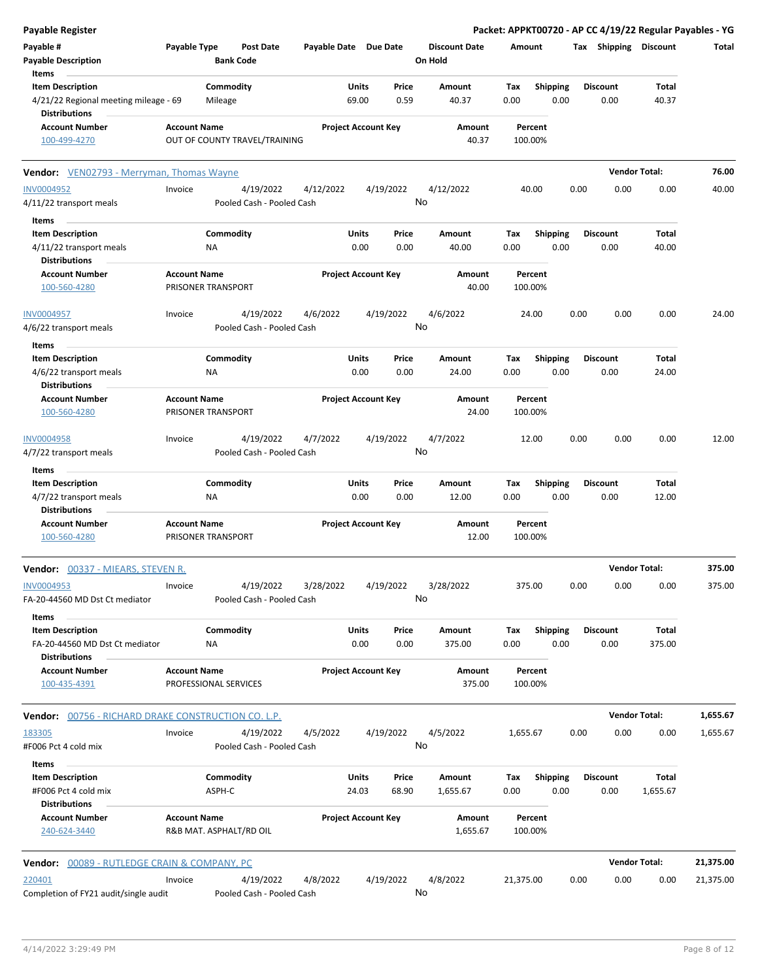| <b>Payable Register</b>                                                    |                     |                        |                                        |                       |                |                            |                                 |             |                         |      |                         |                      | Packet: APPKT00720 - AP CC 4/19/22 Regular Payables - YG |
|----------------------------------------------------------------------------|---------------------|------------------------|----------------------------------------|-----------------------|----------------|----------------------------|---------------------------------|-------------|-------------------------|------|-------------------------|----------------------|----------------------------------------------------------|
| Payable #<br><b>Payable Description</b>                                    | Payable Type        |                        | <b>Post Date</b><br><b>Bank Code</b>   | Payable Date Due Date |                |                            | <b>Discount Date</b><br>On Hold | Amount      |                         |      | Tax Shipping Discount   |                      | Total                                                    |
| Items<br><b>Item Description</b><br>4/21/22 Regional meeting mileage - 69  |                     | Commodity<br>Mileage   |                                        |                       | Units<br>69.00 | Price<br>0.59              | Amount<br>40.37                 | Tax<br>0.00 | <b>Shipping</b><br>0.00 |      | <b>Discount</b><br>0.00 | Total<br>40.37       |                                                          |
| <b>Distributions</b><br><b>Account Number</b>                              | <b>Account Name</b> |                        |                                        |                       |                | <b>Project Account Key</b> | Amount                          |             | Percent                 |      |                         |                      |                                                          |
| 100-499-4270                                                               |                     |                        | OUT OF COUNTY TRAVEL/TRAINING          |                       |                |                            | 40.37                           |             | 100.00%                 |      |                         |                      |                                                          |
| Vendor: VEN02793 - Merryman, Thomas Wayne                                  |                     |                        |                                        |                       |                |                            |                                 |             |                         |      |                         | <b>Vendor Total:</b> | 76.00                                                    |
| <b>INV0004952</b><br>4/11/22 transport meals                               | Invoice             |                        | 4/19/2022<br>Pooled Cash - Pooled Cash | 4/12/2022             |                | 4/19/2022<br>No            | 4/12/2022                       |             | 40.00                   | 0.00 | 0.00                    | 0.00                 | 40.00                                                    |
| Items                                                                      |                     |                        |                                        |                       |                |                            |                                 |             |                         |      |                         |                      |                                                          |
| <b>Item Description</b><br>4/11/22 transport meals<br><b>Distributions</b> |                     | Commodity<br>ΝA        |                                        |                       | Units<br>0.00  | Price<br>0.00              | Amount<br>40.00                 | Tax<br>0.00 | <b>Shipping</b><br>0.00 |      | <b>Discount</b><br>0.00 | Total<br>40.00       |                                                          |
| <b>Account Number</b><br>100-560-4280                                      | <b>Account Name</b> | PRISONER TRANSPORT     |                                        |                       |                | <b>Project Account Key</b> | Amount<br>40.00                 |             | Percent<br>100.00%      |      |                         |                      |                                                          |
| <b>INV0004957</b><br>4/6/22 transport meals                                | Invoice             |                        | 4/19/2022<br>Pooled Cash - Pooled Cash | 4/6/2022              |                | 4/19/2022<br>No            | 4/6/2022                        |             | 24.00                   | 0.00 | 0.00                    | 0.00                 | 24.00                                                    |
| Items                                                                      |                     |                        |                                        |                       |                |                            |                                 |             |                         |      |                         |                      |                                                          |
| <b>Item Description</b><br>4/6/22 transport meals<br><b>Distributions</b>  |                     | Commodity<br>ΝA        |                                        |                       | Units<br>0.00  | Price<br>0.00              | Amount<br>24.00                 | Tax<br>0.00 | <b>Shipping</b><br>0.00 |      | <b>Discount</b><br>0.00 | Total<br>24.00       |                                                          |
| <b>Account Number</b>                                                      | <b>Account Name</b> |                        |                                        |                       |                | <b>Project Account Key</b> | Amount                          |             | Percent                 |      |                         |                      |                                                          |
| 100-560-4280                                                               |                     | PRISONER TRANSPORT     |                                        |                       |                |                            | 24.00                           |             | 100.00%                 |      |                         |                      |                                                          |
| INV0004958                                                                 | Invoice             |                        | 4/19/2022                              | 4/7/2022              |                | 4/19/2022                  | 4/7/2022                        |             | 12.00                   | 0.00 | 0.00                    | 0.00                 | 12.00                                                    |
| 4/7/22 transport meals<br>Items                                            |                     |                        | Pooled Cash - Pooled Cash              |                       |                | No                         |                                 |             |                         |      |                         |                      |                                                          |
| <b>Item Description</b>                                                    |                     | Commodity              |                                        |                       | Units          | Price                      | Amount                          | Tax         | <b>Shipping</b>         |      | <b>Discount</b>         | Total                |                                                          |
| 4/7/22 transport meals<br><b>Distributions</b>                             |                     | ΝA                     |                                        |                       | 0.00           | 0.00                       | 12.00                           | 0.00        | 0.00                    |      | 0.00                    | 12.00                |                                                          |
| <b>Account Number</b><br>100-560-4280                                      | <b>Account Name</b> | PRISONER TRANSPORT     |                                        |                       |                | <b>Project Account Key</b> | Amount<br>12.00                 |             | Percent<br>100.00%      |      |                         |                      |                                                          |
| <b>Vendor:</b> 00337 - MIEARS, STEVEN R.                                   |                     |                        |                                        |                       |                |                            |                                 |             |                         |      |                         | <b>Vendor Total:</b> | 375.00                                                   |
| INV0004953<br>FA-20-44560 MD Dst Ct mediator<br>Items                      | Invoice             |                        | 4/19/2022<br>Pooled Cash - Pooled Cash | 3/28/2022             |                | 4/19/2022<br>No            | 3/28/2022                       |             | 375.00                  | 0.00 | 0.00                    | 0.00                 | 375.00                                                   |
| <b>Item Description</b><br>FA-20-44560 MD Dst Ct mediator                  |                     | Commodity<br><b>NA</b> |                                        |                       | Units<br>0.00  | Price<br>0.00              | Amount<br>375.00                | Tax<br>0.00 | Shipping<br>0.00        |      | <b>Discount</b><br>0.00 | Total<br>375.00      |                                                          |
| <b>Distributions</b><br><b>Account Number</b><br>100-435-4391              | <b>Account Name</b> | PROFESSIONAL SERVICES  |                                        |                       |                | <b>Project Account Key</b> | Amount<br>375.00                |             | Percent<br>100.00%      |      |                         |                      |                                                          |
| <b>Vendor:</b> 00756 - RICHARD DRAKE CONSTRUCTION CO. L.P.                 |                     |                        |                                        |                       |                |                            |                                 |             |                         |      |                         | <b>Vendor Total:</b> | 1,655.67                                                 |
| 183305<br>#F006 Pct 4 cold mix                                             | Invoice             |                        | 4/19/2022<br>Pooled Cash - Pooled Cash | 4/5/2022              |                | 4/19/2022<br>No            | 4/5/2022                        | 1,655.67    |                         | 0.00 | 0.00                    | 0.00                 | 1,655.67                                                 |
| Items<br><b>Item Description</b><br>#F006 Pct 4 cold mix                   |                     | Commodity<br>ASPH-C    |                                        |                       | Units<br>24.03 | Price<br>68.90             | Amount<br>1,655.67              | Тах<br>0.00 | <b>Shipping</b><br>0.00 |      | <b>Discount</b><br>0.00 | Total<br>1,655.67    |                                                          |
| <b>Distributions</b><br><b>Account Number</b><br>240-624-3440              | <b>Account Name</b> |                        | R&B MAT. ASPHALT/RD OIL                |                       |                | <b>Project Account Key</b> | Amount<br>1,655.67              |             | Percent<br>100.00%      |      |                         |                      |                                                          |
|                                                                            |                     |                        |                                        |                       |                |                            |                                 |             |                         |      |                         | <b>Vendor Total:</b> | 21,375.00                                                |
| Vendor: 00089 - RUTLEDGE CRAIN & COMPANY, PC                               |                     |                        |                                        |                       |                |                            |                                 |             |                         |      |                         |                      |                                                          |
| 220401<br>Completion of FY21 audit/single audit                            | Invoice             |                        | 4/19/2022<br>Pooled Cash - Pooled Cash | 4/8/2022              |                | 4/19/2022<br>No            | 4/8/2022                        | 21,375.00   |                         | 0.00 | 0.00                    | 0.00                 | 21,375.00                                                |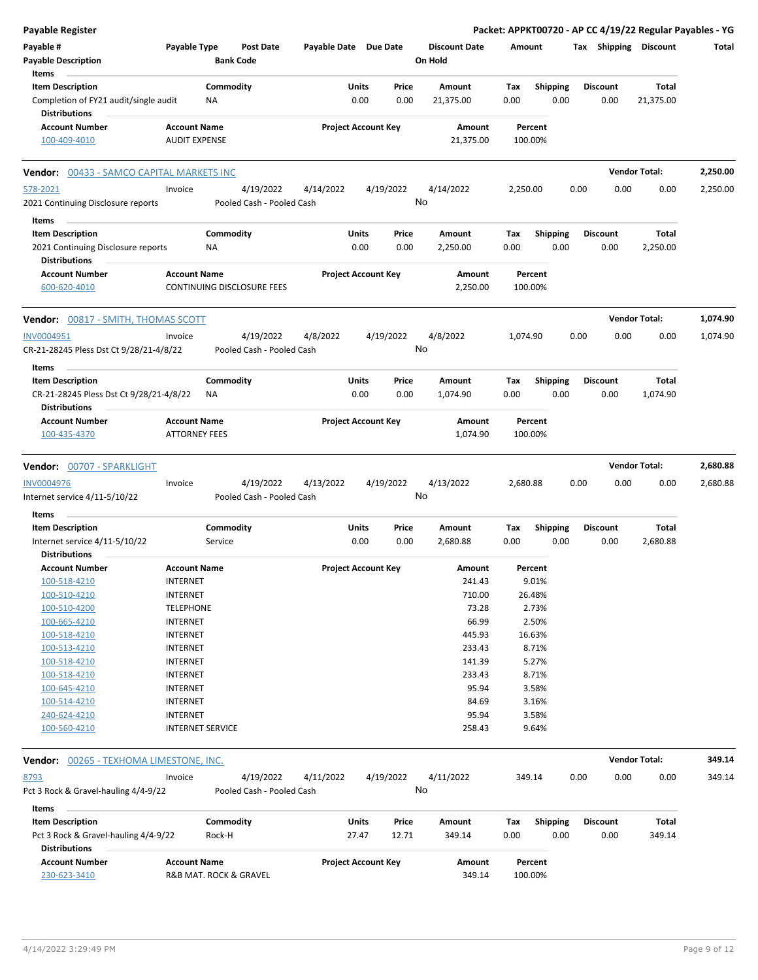| <b>Payable Register</b>                                         |                         |           |                            |                       |                            |           |                      |          |                 |      |                 | Packet: APPKT00720 - AP CC 4/19/22 Regular Payables - YG |          |
|-----------------------------------------------------------------|-------------------------|-----------|----------------------------|-----------------------|----------------------------|-----------|----------------------|----------|-----------------|------|-----------------|----------------------------------------------------------|----------|
| Payable #                                                       | Payable Type            |           | <b>Post Date</b>           | Payable Date Due Date |                            |           | <b>Discount Date</b> | Amount   |                 |      |                 | Tax Shipping Discount                                    | Total    |
| <b>Payable Description</b>                                      |                         |           | <b>Bank Code</b>           |                       |                            |           | On Hold              |          |                 |      |                 |                                                          |          |
| Items                                                           |                         |           |                            |                       |                            |           |                      |          |                 |      |                 |                                                          |          |
| <b>Item Description</b>                                         |                         | Commodity |                            |                       | Units                      | Price     | Amount               | Tax      | <b>Shipping</b> |      | <b>Discount</b> | Total                                                    |          |
| Completion of FY21 audit/single audit<br><b>Distributions</b>   |                         | ΝA        |                            |                       | 0.00                       | 0.00      | 21,375.00            | 0.00     | 0.00            |      | 0.00            | 21,375.00                                                |          |
| <b>Account Number</b>                                           | <b>Account Name</b>     |           |                            |                       | <b>Project Account Key</b> |           | Amount               |          | Percent         |      |                 |                                                          |          |
| 100-409-4010                                                    | <b>AUDIT EXPENSE</b>    |           |                            |                       |                            |           | 21,375.00            | 100.00%  |                 |      |                 |                                                          |          |
| 00433 - SAMCO CAPITAL MARKETS INC<br>Vendor:                    |                         |           |                            |                       |                            |           |                      |          |                 |      |                 | <b>Vendor Total:</b>                                     | 2,250.00 |
| 578-2021                                                        | Invoice                 |           | 4/19/2022                  | 4/14/2022             |                            | 4/19/2022 | 4/14/2022            | 2,250.00 |                 | 0.00 | 0.00            | 0.00                                                     | 2,250.00 |
| 2021 Continuing Disclosure reports                              |                         |           | Pooled Cash - Pooled Cash  |                       |                            | No        |                      |          |                 |      |                 |                                                          |          |
| Items                                                           |                         |           |                            |                       |                            |           |                      |          |                 |      |                 |                                                          |          |
| <b>Item Description</b>                                         |                         | Commodity |                            |                       | Units                      | Price     | Amount               | Tax      | <b>Shipping</b> |      | <b>Discount</b> | Total                                                    |          |
| 2021 Continuing Disclosure reports                              |                         | ΝA        |                            |                       | 0.00                       | 0.00      | 2,250.00             | 0.00     | 0.00            |      | 0.00            | 2,250.00                                                 |          |
| <b>Distributions</b>                                            |                         |           |                            |                       |                            |           |                      |          |                 |      |                 |                                                          |          |
| <b>Account Number</b>                                           | <b>Account Name</b>     |           |                            |                       | <b>Project Account Key</b> |           | Amount               |          | Percent         |      |                 |                                                          |          |
| 600-620-4010                                                    |                         |           | CONTINUING DISCLOSURE FEES |                       |                            |           | 2,250.00             | 100.00%  |                 |      |                 |                                                          |          |
| <b>Vendor: 00817 - SMITH, THOMAS SCOTT</b>                      |                         |           |                            |                       |                            |           |                      |          |                 |      |                 | <b>Vendor Total:</b>                                     | 1,074.90 |
| INV0004951                                                      | Invoice                 |           | 4/19/2022                  | 4/8/2022              |                            | 4/19/2022 | 4/8/2022             | 1,074.90 |                 | 0.00 | 0.00            | 0.00                                                     | 1,074.90 |
| CR-21-28245 Pless Dst Ct 9/28/21-4/8/22                         |                         |           | Pooled Cash - Pooled Cash  |                       |                            | No        |                      |          |                 |      |                 |                                                          |          |
|                                                                 |                         |           |                            |                       |                            |           |                      |          |                 |      |                 |                                                          |          |
| Items                                                           |                         | Commodity |                            |                       | Units                      | Price     | Amount               | Tax      |                 |      | <b>Discount</b> | Total                                                    |          |
| <b>Item Description</b>                                         |                         |           |                            |                       |                            |           |                      |          | <b>Shipping</b> |      |                 |                                                          |          |
| CR-21-28245 Pless Dst Ct 9/28/21-4/8/22<br><b>Distributions</b> |                         | ΝA        |                            |                       | 0.00                       | 0.00      | 1,074.90             | 0.00     | 0.00            |      | 0.00            | 1,074.90                                                 |          |
| <b>Account Number</b>                                           | <b>Account Name</b>     |           |                            |                       | <b>Project Account Key</b> |           | Amount               |          | Percent         |      |                 |                                                          |          |
| 100-435-4370                                                    | <b>ATTORNEY FEES</b>    |           |                            |                       |                            |           | 1,074.90             | 100.00%  |                 |      |                 |                                                          |          |
| Vendor: 00707 - SPARKLIGHT                                      |                         |           |                            |                       |                            |           |                      |          |                 |      |                 | <b>Vendor Total:</b>                                     | 2,680.88 |
| INV0004976                                                      | Invoice                 |           | 4/19/2022                  | 4/13/2022             |                            | 4/19/2022 | 4/13/2022            | 2,680.88 |                 | 0.00 | 0.00            | 0.00                                                     | 2,680.88 |
| Internet service 4/11-5/10/22                                   |                         |           | Pooled Cash - Pooled Cash  |                       |                            | No        |                      |          |                 |      |                 |                                                          |          |
| Items                                                           |                         |           |                            |                       |                            |           |                      |          |                 |      |                 |                                                          |          |
| <b>Item Description</b>                                         |                         | Commodity |                            |                       | Units                      | Price     | Amount               | Tax      | <b>Shipping</b> |      | <b>Discount</b> | Total                                                    |          |
| Internet service 4/11-5/10/22                                   |                         | Service   |                            |                       | 0.00                       | 0.00      | 2,680.88             | 0.00     | 0.00            |      | 0.00            | 2,680.88                                                 |          |
| <b>Distributions</b>                                            |                         |           |                            |                       |                            |           |                      |          |                 |      |                 |                                                          |          |
| <b>Account Number</b>                                           | <b>Account Name</b>     |           |                            |                       | <b>Project Account Key</b> |           | Amount               |          | Percent         |      |                 |                                                          |          |
| 100-518-4210                                                    | <b>INTERNET</b>         |           |                            |                       |                            |           | 241.43               |          | 9.01%           |      |                 |                                                          |          |
| 100-510-4210                                                    | <b>INTERNET</b>         |           |                            |                       |                            |           | 710.00               |          | 26.48%          |      |                 |                                                          |          |
| 100-510-4200                                                    | <b>TELEPHONE</b>        |           |                            |                       |                            |           | 73.28                |          | 2.73%           |      |                 |                                                          |          |
| 100-665-4210                                                    | <b>INTERNET</b>         |           |                            |                       |                            |           | 66.99                |          | 2.50%           |      |                 |                                                          |          |
| 100-518-4210                                                    | <b>INTERNET</b>         |           |                            |                       |                            |           | 445.93               |          | 16.63%          |      |                 |                                                          |          |
| 100-513-4210                                                    | <b>INTERNET</b>         |           |                            |                       |                            |           | 233.43               |          | 8.71%           |      |                 |                                                          |          |
| 100-518-4210                                                    | <b>INTERNET</b>         |           |                            |                       |                            |           | 141.39               |          | 5.27%           |      |                 |                                                          |          |
| 100-518-4210                                                    | <b>INTERNET</b>         |           |                            |                       |                            |           | 233.43               |          | 8.71%           |      |                 |                                                          |          |
| 100-645-4210                                                    | <b>INTERNET</b>         |           |                            |                       |                            |           | 95.94                |          | 3.58%           |      |                 |                                                          |          |
| 100-514-4210                                                    | <b>INTERNET</b>         |           |                            |                       |                            |           | 84.69                |          | 3.16%           |      |                 |                                                          |          |
| 240-624-4210                                                    | <b>INTERNET</b>         |           |                            |                       |                            |           | 95.94                |          | 3.58%           |      |                 |                                                          |          |
| 100-560-4210                                                    | <b>INTERNET SERVICE</b> |           |                            |                       |                            |           | 258.43               |          | 9.64%           |      |                 |                                                          |          |
| <b>Vendor:</b> 00265 - TEXHOMA LIMESTONE, INC.                  |                         |           |                            |                       |                            |           |                      |          |                 |      |                 | <b>Vendor Total:</b>                                     | 349.14   |
| 8793                                                            | Invoice                 |           | 4/19/2022                  | 4/11/2022             |                            | 4/19/2022 | 4/11/2022            | 349.14   |                 | 0.00 | 0.00            | 0.00                                                     | 349.14   |
| Pct 3 Rock & Gravel-hauling 4/4-9/22                            |                         |           | Pooled Cash - Pooled Cash  |                       |                            | No        |                      |          |                 |      |                 |                                                          |          |
| Items                                                           |                         |           |                            |                       |                            |           |                      |          |                 |      |                 |                                                          |          |
| <b>Item Description</b>                                         |                         | Commodity |                            |                       | <b>Units</b>               | Price     | Amount               | Tax      | <b>Shipping</b> |      | <b>Discount</b> | Total                                                    |          |
| Pct 3 Rock & Gravel-hauling 4/4-9/22                            |                         | Rock-H    |                            |                       | 27.47                      | 12.71     | 349.14               | 0.00     | 0.00            |      | 0.00            | 349.14                                                   |          |
| <b>Distributions</b>                                            |                         |           |                            |                       |                            |           |                      |          |                 |      |                 |                                                          |          |
| <b>Account Number</b>                                           | <b>Account Name</b>     |           |                            |                       | <b>Project Account Key</b> |           | Amount               |          | Percent         |      |                 |                                                          |          |
| 230-623-3410                                                    |                         |           | R&B MAT. ROCK & GRAVEL     |                       |                            |           | 349.14               | 100.00%  |                 |      |                 |                                                          |          |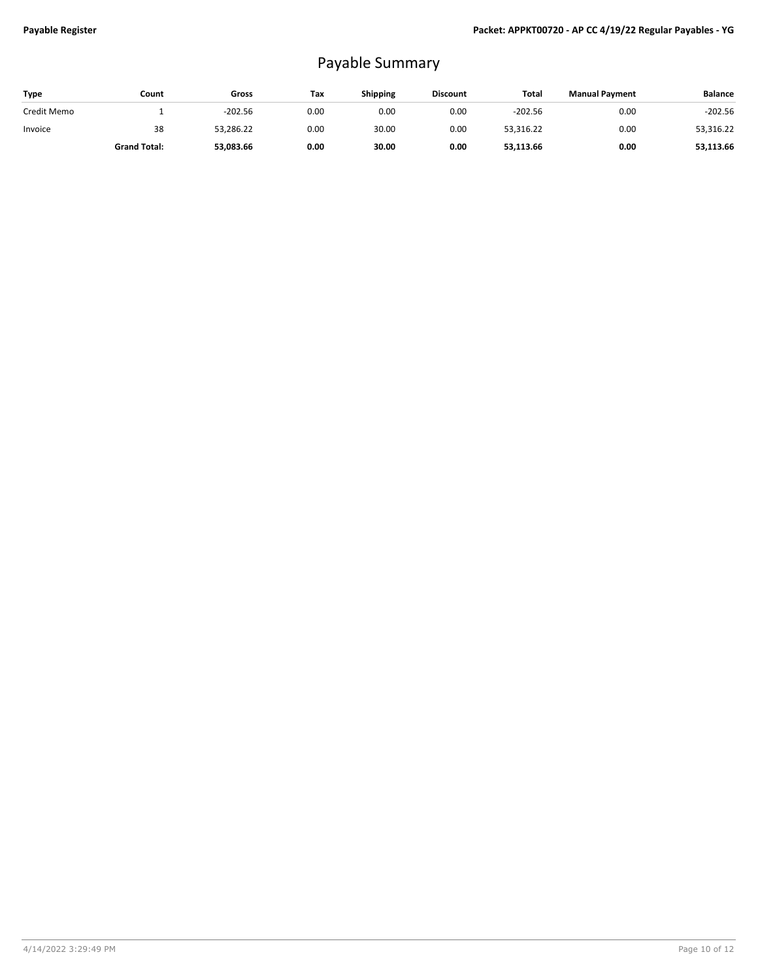## Payable Summary

| <b>Type</b> | Count               | Gross     | Tax  | Shipping | <b>Discount</b> | Total     | <b>Manual Payment</b> | <b>Balance</b> |
|-------------|---------------------|-----------|------|----------|-----------------|-----------|-----------------------|----------------|
| Credit Memo |                     | $-202.56$ | 0.00 | 0.00     | 0.00            | $-202.56$ | 0.00                  | $-202.56$      |
| Invoice     | 38                  | 53,286.22 | 0.00 | 30.00    | 0.00            | 53,316.22 | 0.00                  | 53,316.22      |
|             | <b>Grand Total:</b> | 53,083.66 | 0.00 | 30.00    | 0.00            | 53,113.66 | 0.00                  | 53,113.66      |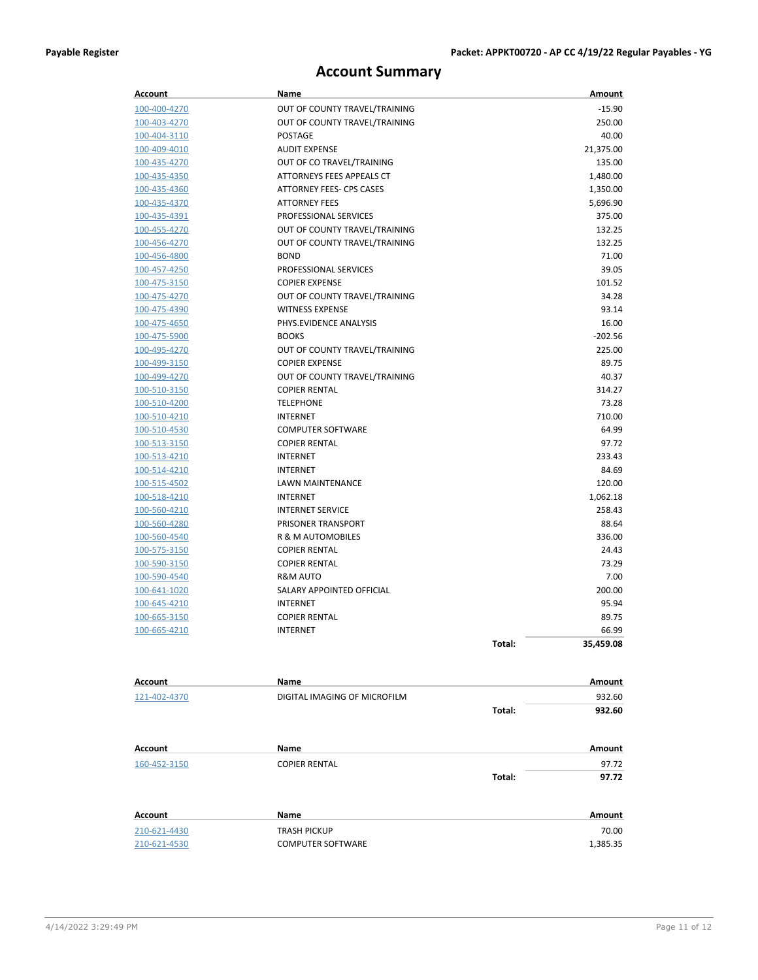## **Account Summary**

| <b>Account</b>      | Name                            |        | Amount    |
|---------------------|---------------------------------|--------|-----------|
| 100-400-4270        | OUT OF COUNTY TRAVEL/TRAINING   |        | $-15.90$  |
| 100-403-4270        | OUT OF COUNTY TRAVEL/TRAINING   |        | 250.00    |
| 100-404-3110        | <b>POSTAGE</b>                  |        | 40.00     |
| 100-409-4010        | <b>AUDIT EXPENSE</b>            |        | 21,375.00 |
| 100-435-4270        | OUT OF CO TRAVEL/TRAINING       |        | 135.00    |
| 100-435-4350        | ATTORNEYS FEES APPEALS CT       |        | 1,480.00  |
| 100-435-4360        | <b>ATTORNEY FEES- CPS CASES</b> |        | 1,350.00  |
| 100-435-4370        | <b>ATTORNEY FEES</b>            |        | 5,696.90  |
| 100-435-4391        | PROFESSIONAL SERVICES           |        | 375.00    |
| 100-455-4270        | OUT OF COUNTY TRAVEL/TRAINING   |        | 132.25    |
| 100-456-4270        | OUT OF COUNTY TRAVEL/TRAINING   |        | 132.25    |
| 100-456-4800        | <b>BOND</b>                     |        | 71.00     |
| 100-457-4250        | PROFESSIONAL SERVICES           |        | 39.05     |
| 100-475-3150        | <b>COPIER EXPENSE</b>           |        | 101.52    |
| 100-475-4270        | OUT OF COUNTY TRAVEL/TRAINING   |        | 34.28     |
| 100-475-4390        | <b>WITNESS EXPENSE</b>          |        | 93.14     |
| 100-475-4650        | PHYS.EVIDENCE ANALYSIS          |        | 16.00     |
| 100-475-5900        | <b>BOOKS</b>                    |        | $-202.56$ |
| 100-495-4270        | OUT OF COUNTY TRAVEL/TRAINING   |        | 225.00    |
| 100-499-3150        | <b>COPIER EXPENSE</b>           |        | 89.75     |
| 100-499-4270        | OUT OF COUNTY TRAVEL/TRAINING   |        | 40.37     |
| 100-510-3150        | <b>COPIER RENTAL</b>            |        | 314.27    |
| 100-510-4200        | <b>TELEPHONE</b>                |        | 73.28     |
| 100-510-4210        | <b>INTERNET</b>                 |        | 710.00    |
| 100-510-4530        | <b>COMPUTER SOFTWARE</b>        |        | 64.99     |
| 100-513-3150        | <b>COPIER RENTAL</b>            |        | 97.72     |
| 100-513-4210        | INTERNET                        |        | 233.43    |
| 100-514-4210        | <b>INTERNET</b>                 |        | 84.69     |
| 100-515-4502        | LAWN MAINTENANCE                |        | 120.00    |
| 100-518-4210        | INTERNET                        |        | 1,062.18  |
| 100-560-4210        | <b>INTERNET SERVICE</b>         |        | 258.43    |
| 100-560-4280        | PRISONER TRANSPORT              |        | 88.64     |
| 100-560-4540        | R & M AUTOMOBILES               |        | 336.00    |
| 100-575-3150        | <b>COPIER RENTAL</b>            |        | 24.43     |
| 100-590-3150        | <b>COPIER RENTAL</b>            |        | 73.29     |
| 100-590-4540        | R&M AUTO                        |        | 7.00      |
| <u>100-641-1020</u> | SALARY APPOINTED OFFICIAL       |        | 200.00    |
| 100-645-4210        | INTERNET                        |        | 95.94     |
| 100-665-3150        | <b>COPIER RENTAL</b>            |        | 89.75     |
| 100-665-4210        | <b>INTERNET</b>                 |        | 66.99     |
|                     |                                 | Total: | 35,459.08 |
|                     |                                 |        |           |
|                     |                                 |        |           |
| Account             | Name                            |        | Amount    |
| 121-402-4370        | DIGITAL IMAGING OF MICROFILM    |        | 932.60    |
|                     |                                 | Total: | 932.60    |
| <b>Account</b>      | Name                            |        | Amount    |
| 160-452-3150        | <b>COPIER RENTAL</b>            |        | 97.72     |
|                     |                                 | Total: | 97.72     |
|                     |                                 |        |           |
| Account             | Name                            |        | Amount    |
| 210-621-4430        | <b>TRASH PICKUP</b>             |        | 70.00     |
| 210-621-4530        | <b>COMPUTER SOFTWARE</b>        |        | 1,385.35  |